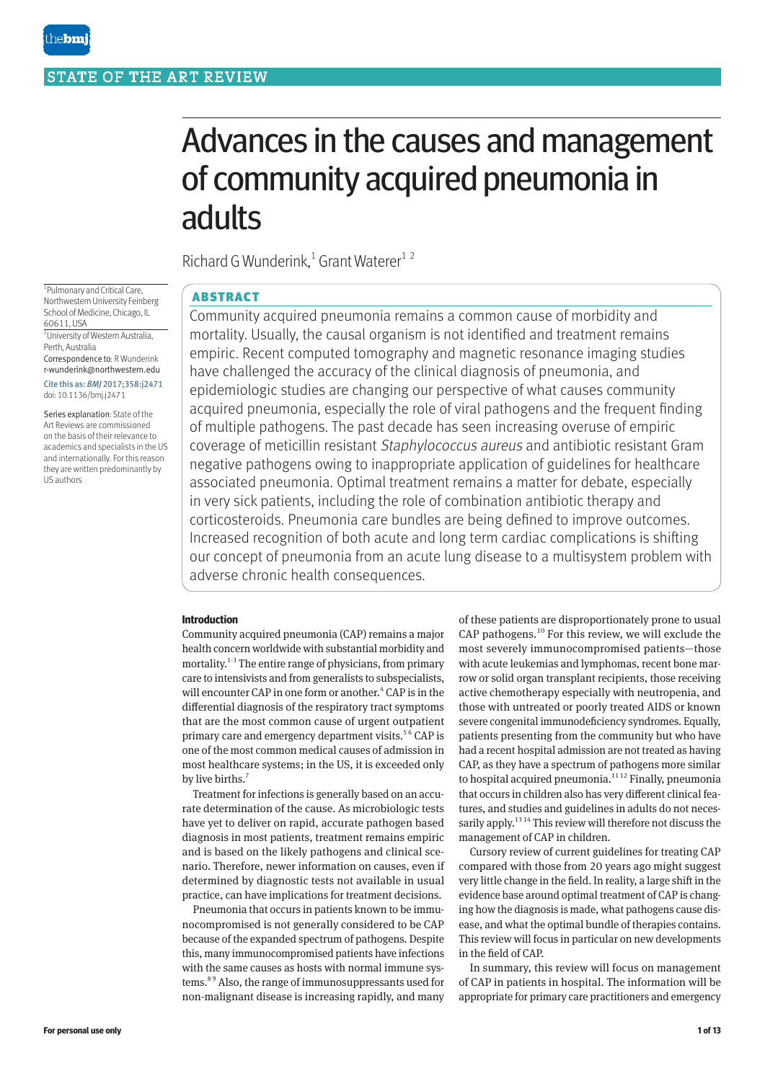# Advances in the causes and management of community acquired pneumonia in adults

Richard G Wunderink,<sup>1</sup> Grant Waterer<sup>12</sup>

# ABSTRACT

Community acquired pneumonia remains a common cause of morbidity and mortality. Usually, the causal organism is not identified and treatment remains empiric. Recent computed tomography and magnetic resonance imaging studies have challenged the accuracy of the clinical diagnosis of pneumonia, and epidemiologic studies are changing our perspective of what causes community acquired pneumonia, especially the role of viral pathogens and the frequent finding of multiple pathogens. The past decade has seen increasing overuse of empiric coverage of meticillin resistant Staphylococcus aureus and antibiotic resistant Gram negative pathogens owing to inappropriate application of guidelines for healthcare associated pneumonia. Optimal treatment remains a matter for debate, especially in very sick patients, including the role of combination antibiotic therapy and corticosteroids. Pneumonia care bundles are being defined to improve outcomes. Increased recognition of both acute and long term cardiac complications is shifting our concept of pneumonia from an acute lung disease to a multisystem problem with adverse chronic health consequences.

# **Introduction**

Community acquired pneumonia (CAP) remains a major health concern worldwide with substantial morbidity and mortality.<sup>1-3</sup> The entire range of physicians, from primary care to intensivists and from generalists to subspecialists, will encounter CAP in one form or another.<sup>4</sup> CAP is in the differential diagnosis of the respiratory tract symptoms that are the most common cause of urgent outpatient primary care and emergency department visits.<sup>56</sup> CAP is one of the most common medical causes of admission in most healthcare systems; in the US, it is exceeded only by live births.<sup>7</sup>

Treatment for infections is generally based on an accurate determination of the cause. As microbiologic tests have yet to deliver on rapid, accurate pathogen based diagnosis in most patients, treatment remains empiric and is based on the likely pathogens and clinical scenario. Therefore, newer information on causes, even if determined by diagnostic tests not available in usual practice, can have implications for treatment decisions.

Pneumonia that occurs in patients known to be immunocompromised is not generally considered to be CAP because of the expanded spectrum of pathogens. Despite this, many immunocompromised patients have infections with the same causes as hosts with normal immune systems.8 9 Also, the range of immunosuppressants used for non-malignant disease is increasing rapidly, and many of these patients are disproportionately prone to usual CAP pathogens.10 For this review, we will exclude the most severely immunocompromised patients—those with acute leukemias and lymphomas, recent bone marrow or solid organ transplant recipients, those receiving active chemotherapy especially with neutropenia, and those with untreated or poorly treated AIDS or known severe congenital immunodeficiency syndromes. Equally, patients presenting from the community but who have had a recent hospital admission are not treated as having CAP, as they have a spectrum of pathogens more similar to hospital acquired pneumonia.<sup>1112</sup> Finally, pneumonia that occurs in children also has very different clinical features, and studies and guidelines in adults do not necessarily apply.<sup>13,14</sup> This review will therefore not discuss the management of CAP in children.

Cursory review of current guidelines for treating CAP compared with those from 20 years ago might suggest very little change in the field. In reality, a large shift in the evidence base around optimal treatment of CAP is changing how the diagnosis is made, what pathogens cause disease, and what the optimal bundle of therapies contains. This review will focus in particular on new developments in the field of CAP.

In summary, this review will focus on management of CAP in patients in hospital. The information will be appropriate for primary care practitioners and emergency

1 Pulmonary and Critical Care, Northwestern University Feinberg School of Medicine, Chicago, IL 60611, USA 2 University of Western Australia, Perth, Australia Correspondence to: R Wunderink

r-wunderink@northwestern.edu Cite this as: *BMJ* 2017;358:j2471 doi: 10.1136/bmj.j2471

Series explanation: State of the Art Reviews are commissioned on the basis of their relevance to academics and specialists in the US and internationally. For this reason they are written predominantly by US authors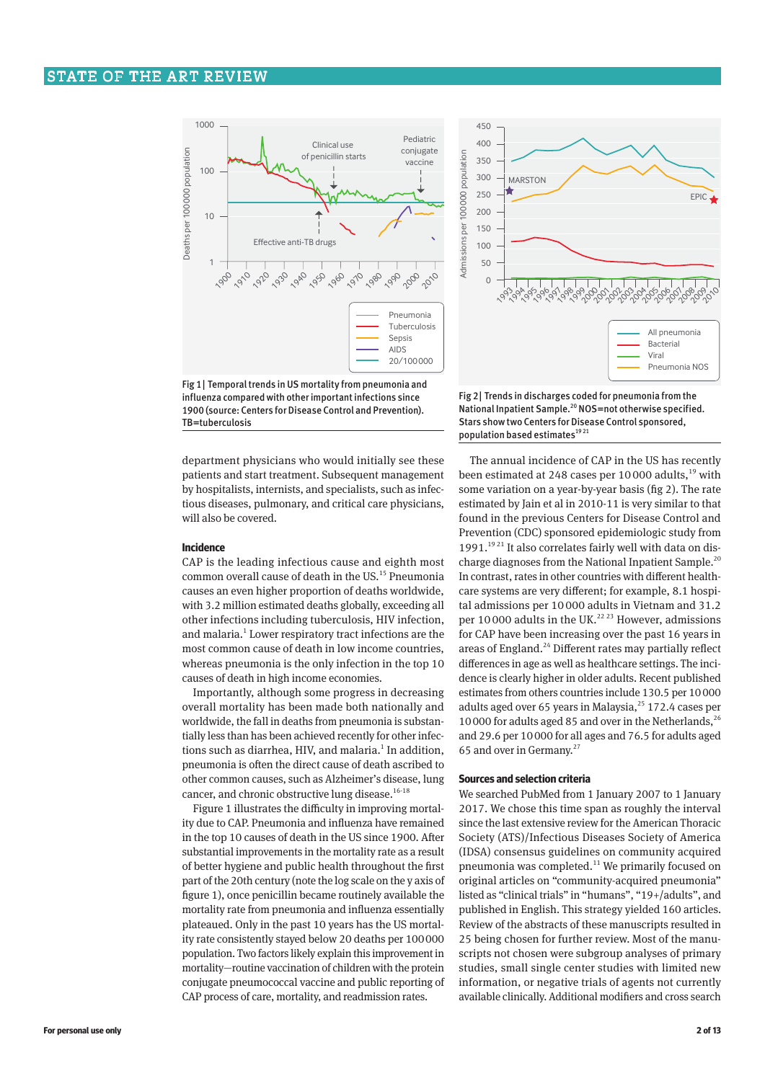

Fig 1| Temporal trends in US mortality from pneumonia and influenza compared with other important infections since 1900 (source: Centers for Disease Control and Prevention). TB=tuberculosis

department physicians who would initially see these patients and start treatment. Subsequent management by hospitalists, internists, and specialists, such as infectious diseases, pulmonary, and critical care physicians, will also be covered.

#### **Incidence**

CAP is the leading infectious cause and eighth most common overall cause of death in the US.<sup>15</sup> Pneumonia causes an even higher proportion of deaths worldwide, with 3.2 million estimated deaths globally, exceeding all other infections including tuberculosis, HIV infection, and malaria.<sup>1</sup> Lower respiratory tract infections are the most common cause of death in low income countries, whereas pneumonia is the only infection in the top 10 causes of death in high income economies.

Importantly, although some progress in decreasing overall mortality has been made both nationally and worldwide, the fall in deaths from pneumonia is substantially less than has been achieved recently for other infections such as diarrhea, HIV, and malaria.<sup>1</sup> In addition, pneumonia is often the direct cause of death ascribed to other common causes, such as Alzheimer's disease, lung cancer, and chronic obstructive lung disease.<sup>16-18</sup>

Figure 1 illustrates the difficulty in improving mortality due to CAP. Pneumonia and influenza have remained in the top 10 causes of death in the US since 1900. After substantial improvements in the mortality rate as a result of better hygiene and public health throughout the first part of the 20th century (note the log scale on the y axis of figure 1), once penicillin became routinely available the mortality rate from pneumonia and influenza essentially plateaued. Only in the past 10 years has the US mortality rate consistently stayed below 20 deaths per 100000 population. Two factors likely explain this improvement in mortality—routine vaccination of children with the protein conjugate pneumococcal vaccine and public reporting of CAP process of care, mortality, and readmission rates.



Fig 2| Trends in discharges coded for pneumonia from the National Inpatient Sample.<sup>20</sup> NOS=not otherwise specified. Stars show two Centers for Disease Control sponsored, population based estimates<sup>1921</sup>

The annual incidence of CAP in the US has recently been estimated at 248 cases per 10000 adults, $19$  with some variation on a year-by-year basis (fig 2). The rate estimated by Jain et al in 2010-11 is very similar to that found in the previous Centers for Disease Control and Prevention (CDC) sponsored epidemiologic study from 1991.<sup>1921</sup> It also correlates fairly well with data on discharge diagnoses from the National Inpatient Sample.<sup>20</sup> In contrast, rates in other countries with different healthcare systems are very different; for example, 8.1 hospital admissions per 10 000 adults in Vietnam and 31.2 per 10 000 adults in the UK.<sup>22 23</sup> However, admissions for CAP have been increasing over the past 16 years in areas of England.<sup>24</sup> Different rates may partially reflect differences in age as well as healthcare settings. The incidence is clearly higher in older adults. Recent published estimates from others countries include 130.5 per 10000 adults aged over 65 years in Malaysia, $^{25}$  172.4 cases per 10000 for adults aged 85 and over in the Netherlands,  $26$ and 29.6 per 10000 for all ages and 76.5 for adults aged 65 and over in Germany.<sup>27</sup>

# **Sources and selection criteria**

We searched PubMed from 1 January 2007 to 1 January 2017. We chose this time span as roughly the interval since the last extensive review for the American Thoracic Society (ATS)/Infectious Diseases Society of America (IDSA) consensus guidelines on community acquired pneumonia was completed.11 We primarily focused on original articles on "community-acquired pneumonia" listed as "clinical trials" in "humans", "19+/adults", and published in English. This strategy yielded 160 articles. Review of the abstracts of these manuscripts resulted in 25 being chosen for further review. Most of the manuscripts not chosen were subgroup analyses of primary studies, small single center studies with limited new information, or negative trials of agents not currently available clinically. Additional modifiers and cross search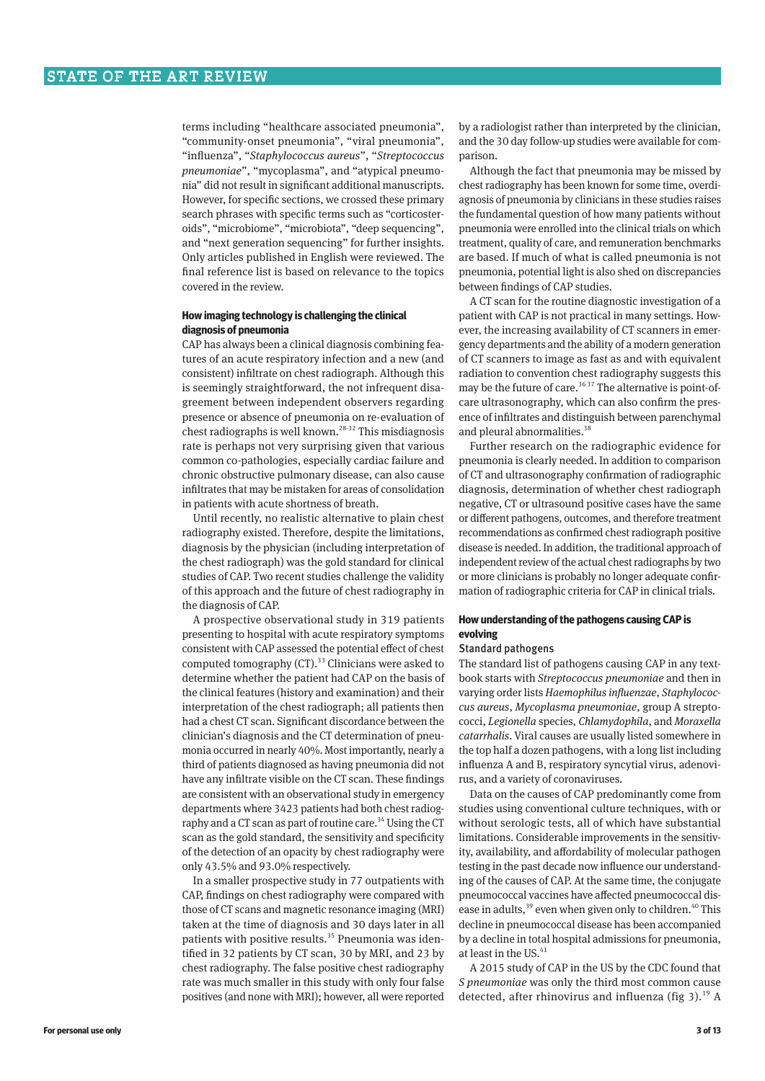terms including "healthcare associated pneumonia", "community-onset pneumonia", "viral pneumonia", "influenza", "*Staphylococcus aureus*", "*Streptococcus*  pneumoniae", "mycoplasma", and "atypical pneumonia" did not result in significant additional manuscripts. However, for specific sections, we crossed these primary search phrases with specific terms such as "corticosteroids", "microbiome", "microbiota", "deep sequencing", and "next generation sequencing" for further insights. Only articles published in English were reviewed. The final reference list is based on relevance to the topics covered in the review.

# **How imaging technology is challenging the clinical diagnosis of pneumonia**

CAP has always been a clinical diagnosis combining features of an acute respiratory infection and a new (and consistent) infiltrate on chest radiograph. Although this is seemingly straightforward, the not infrequent disagreement between independent observers regarding presence or absence of pneumonia on re-evaluation of  $\overline{\Omega}$  chest radiographs is well known.<sup>28-32</sup> This misdiagnosis rate is perhaps not very surprising given that various common co-pathologies, especially cardiac failure and chronic obstructive pulmonary disease, can also cause infiltrates that may be mistaken for areas of consolidation in patients with acute shortness of breath.

Until recently, no realistic alternative to plain chest radiography existed. Therefore, despite the limitations, diagnosis by the physician (including interpretation of the chest radiograph) was the gold standard for clinical studies of CAP. Two recent studies challenge the validity of this approach and the future of chest radiography in the diagnosis of CAP.

A prospective observational study in 319 patients presenting to hospital with acute respiratory symptoms consistent with CAP assessed the potential effect of chest computed tomography  $(CT)$ .<sup>33</sup> Clinicians were asked to determine whether the patient had CAP on the basis of the clinical features (history and examination) and their interpretation of the chest radiograph; all patients then had a chest CT scan. Significant discordance between the clinician's diagnosis and the CT determination of pneumonia occurred in nearly 40%. Most importantly, nearly a third of patients diagnosed as having pneumonia did not have any infiltrate visible on the CT scan. These findings are consistent with an observational study in emergency departments where 3423 patients had both chest radiography and a CT scan as part of routine care.<sup>34</sup> Using the CT scan as the gold standard, the sensitivity and specificity of the detection of an opacity by chest radiography were only 43.5% and 93.0% respectively.

In a smaller prospective study in 77 outpatients with CAP, findings on chest radiography were compared with those of CT scans and magnetic resonance imaging (MRI) taken at the time of diagnosis and 30 days later in all patients with positive results.<sup>35</sup> Pneumonia was identified in 32 patients by CT scan, 30 by MRI, and 23 by chest radiography. The false positive chest radiography rate was much smaller in this study with only four false positives (and none with MRI); however, all were reported

by a radiologist rather than interpreted by the clinician, and the 30 day follow-up studies were available for comparison.

Although the fact that pneumonia may be missed by chest radiography has been known for some time, overdiagnosis of pneumonia by clinicians in these studies raises the fundamental question of how many patients without pneumonia were enrolled into the clinical trials on which treatment, quality of care, and remuneration benchmarks are based. If much of what is called pneumonia is not pneumonia, potential light is also shed on discrepancies between findings of CAP studies.

A CT scan for the routine diagnostic investigation of a patient with CAP is not practical in many settings. However, the increasing availability of CT scanners in emergency departments and the ability of a modern generation of CT scanners to image as fast as and with equivalent radiation to convention chest radiography suggests this may be the future of care.<sup>36,37</sup> The alternative is point-ofcare ultrasonography, which can also confirm the presence of infiltrates and distinguish between parenchymal and pleural abnormalities.<sup>38</sup>

Further research on the radiographic evidence for pneumonia is clearly needed. In addition to comparison of CT and ultrasonography confirmation of radiographic diagnosis, determination of whether chest radiograph negative, CT or ultrasound positive cases have the same or different pathogens, outcomes, and therefore treatment recommendations as confirmed chest radiograph positive disease is needed. In addition, the traditional approach of independent review of the actual chest radiographs by two or more clinicians is probably no longer adequate confir‑ mation of radiographic criteria for CAP in clinical trials.

# **How understanding of the pathogens causing CAP is evolving**

# Standard pathogens

The standard list of pathogens causing CAP in any textbook starts with *Streptococcus pneumoniae* and then in varying order lists *Haemophilus influenzae*, *Staphylococcus aureus*, *Mycoplasma pneumoniae*, group A strepto‑ cocci, *Legionella* species, *Chlamydophila*, and *Moraxella catarrhalis*. Viral causes are usually listed somewhere in the top half a dozen pathogens, with a long list including influenza A and B, respiratory syncytial virus, adenovirus, and a variety of coronaviruses.

Data on the causes of CAP predominantly come from studies using conventional culture techniques, with or without serologic tests, all of which have substantial limitations. Considerable improvements in the sensitivity, availability, and affordability of molecular pathogen testing in the past decade now influence our understanding of the causes of CAP. At the same time, the conjugate pneumococcal vaccines have affected pneumococcal disease in adults,<sup>39</sup> even when given only to children.<sup>40</sup> This decline in pneumococcal disease has been accompanied by a decline in total hospital admissions for pneumonia, at least in the US. $41$ 

A 2015 study of CAP in the US by the CDC found that *S pneumoniae* was only the third most common cause detected, after rhinovirus and influenza (fig 3).<sup>19</sup> A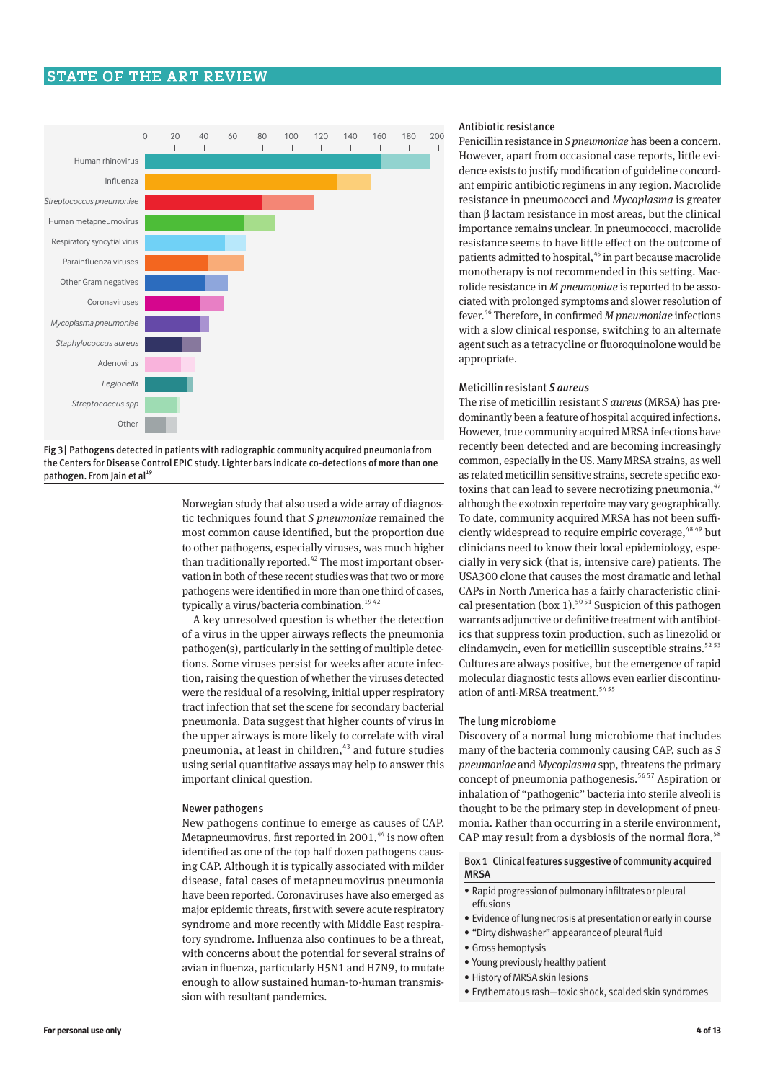# STATE OF THE ART REVIEW



Fig 3| Pathogens detected in patients with radiographic community acquired pneumonia from the Centers for Disease Control EPIC study. Lighter bars indicate co-detections of more than one pathogen. From Jain et al<sup>19</sup>

> Norwegian study that also used a wide array of diagnos‑ tic techniques found that *S pneumoniae* remained the most common cause identified, but the proportion due to other pathogens, especially viruses, was much higher than traditionally reported. $42$  The most important observation in both of these recent studies was that two or more pathogens were identified in more than one third of cases, typically a virus/bacteria combination.<sup>1942</sup>

> A key unresolved question is whether the detection of a virus in the upper airways reflects the pneumonia pathogen(s), particularly in the setting of multiple detections. Some viruses persist for weeks after acute infection, raising the question of whether the viruses detected were the residual of a resolving, initial upper respiratory tract infection that set the scene for secondary bacterial pneumonia. Data suggest that higher counts of virus in the upper airways is more likely to correlate with viral pneumonia, at least in children,<sup>43</sup> and future studies using serial quantitative assays may help to answer this important clinical question.

#### Newer pathogens

New pathogens continue to emerge as causes of CAP. Metapneumovirus, first reported in 2001,<sup>44</sup> is now often identified as one of the top half dozen pathogens causing CAP. Although it is typically associated with milder disease, fatal cases of metapneumovirus pneumonia have been reported. Coronaviruses have also emerged as major epidemic threats, first with severe acute respiratory syndrome and more recently with Middle East respiratory syndrome. Influenza also continues to be a threat, with concerns about the potential for several strains of avian influenza, particularly H5N1 and H7N9, to mutate enough to allow sustained human-to-human transmission with resultant pandemics.

# Antibiotic resistance

Penicillin resistance in *S pneumoniae* has been a concern. However, apart from occasional case reports, little evidence exists to justify modification of guideline concordant empiric antibiotic regimens in any region. Macrolide resistance in pneumococci and *Mycoplasma* is greater than β lactam resistance in most areas, but the clinical importance remains unclear. In pneumococci, macrolide resistance seems to have little effect on the outcome of patients admitted to hospital,<sup>45</sup> in part because macrolide monotherapy is not recommended in this setting. Macrolide resistance in *M pneumoniae* is reported to be associated with prolonged symptoms and slower resolution of fever.46 Therefore, in confirmed *M pneumoniae* infections with a slow clinical response, switching to an alternate agent such as a tetracycline or fluoroquinolone would be appropriate.

## Meticillin resistant *S aureus*

The rise of meticillin resistant *S aureus* (MRSA) has pre‑ dominantly been a feature of hospital acquired infections. However, true community acquired MRSA infections have recently been detected and are becoming increasingly common, especially in the US. Many MRSA strains, as well as related meticillin sensitive strains, secrete specific exotoxins that can lead to severe necrotizing pneumonia, $47$ although the exotoxin repertoire may vary geographically. To date, community acquired MRSA has not been sufficiently widespread to require empiric coverage,  $48\frac{49}{9}$  but clinicians need to know their local epidemiology, especially in very sick (that is, intensive care) patients. The USA300 clone that causes the most dramatic and lethal CAPs in North America has a fairly characteristic clini‑ cal presentation (box 1).<sup>50 51</sup> Suspicion of this pathogen warrants adjunctive or definitive treatment with antibiotics that suppress toxin production, such as linezolid or clindamycin, even for meticillin susceptible strains. $5253$ Cultures are always positive, but the emergence of rapid molecular diagnostic tests allows even earlier discontinuation of anti-MRSA treatment.<sup>5455</sup>

## The lung microbiome

Discovery of a normal lung microbiome that includes many of the bacteria commonly causing CAP, such as *S pneumoniae* and *Mycoplasma* spp, threatens the primary concept of pneumonia pathogenesis.<sup>56 57</sup> Aspiration or inhalation of "pathogenic" bacteria into sterile alveoli is thought to be the primary step in development of pneumonia. Rather than occurring in a sterile environment, CAP may result from a dysbiosis of the normal flora,<sup>58</sup>

# Box 1|Clinical features suggestive of community acquired **MRSA**

- Rapid progression of pulmonary infiltrates or pleural effusions
- Evidence of lung necrosis at presentation or early in course
- "Dirty dishwasher" appearance of pleural fluid
- Gross hemoptysis
- Young previously healthy patient
- History of MRSA skin lesions
- Erythematous rash—toxic shock, scalded skin syndromes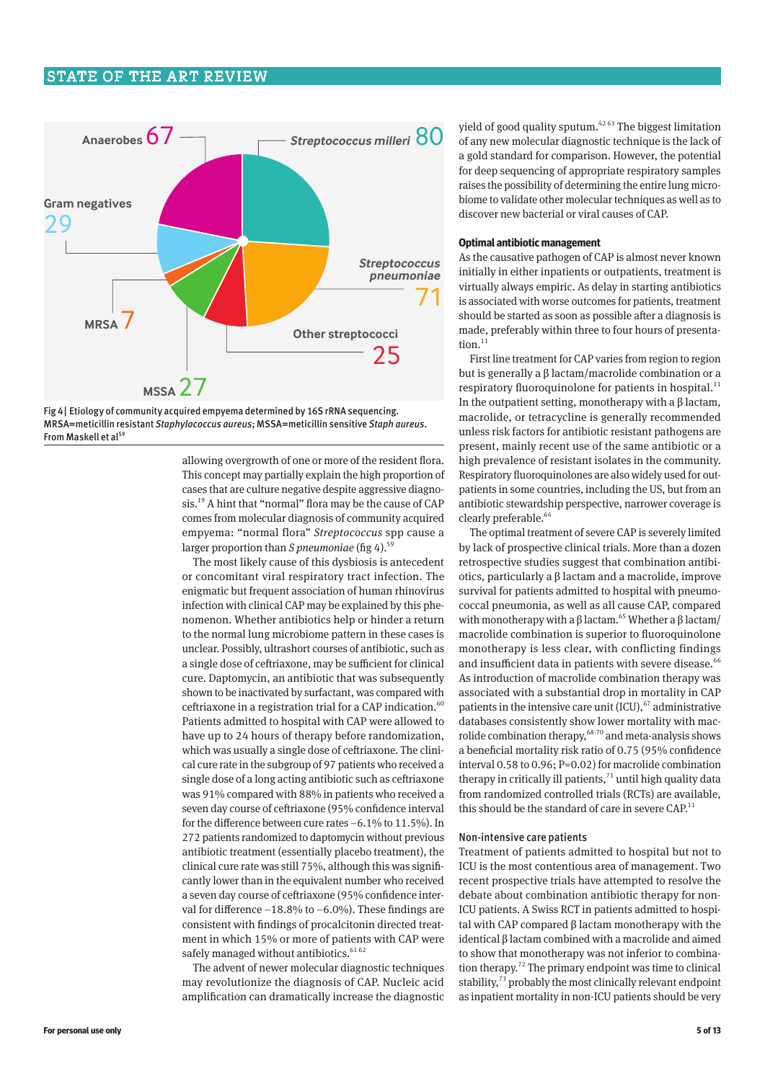# STATE OF THE ART REVIEW





allowing overgrowth of one or more of the resident flora. This concept may partially explain the high proportion of cases that are culture negative despite aggressive diagnosis.19 A hint that "normal" flora may be the cause of CAP comes from molecular diagnosis of community acquired empyema: "normal flora" *Streptococcus* spp cause a larger proportion than *S pneumoniae* (fig 4).<sup>59</sup>

The most likely cause of this dysbiosis is antecedent or concomitant viral respiratory tract infection. The enigmatic but frequent association of human rhinovirus infection with clinical CAP may be explained by this phenomenon. Whether antibiotics help or hinder a return to the normal lung microbiome pattern in these cases is unclear. Possibly, ultrashort courses of antibiotic, such as a single dose of ceftriaxone, may be sufficient for clinical cure. Daptomycin, an antibiotic that was subsequently shown to be inactivated by surfactant, was compared with ceftriaxone in a registration trial for a CAP indication.<sup>60</sup> Patients admitted to hospital with CAP were allowed to have up to 24 hours of therapy before randomization, which was usually a single dose of ceftriaxone. The clinical cure rate in the subgroup of 97 patients who received a single dose of a long acting antibiotic such as ceftriaxone was 91% compared with 88% in patients who received a seven day course of ceftriaxone (95% confidence interval for the difference between cure rates −6.1% to 11.5%). In 272 patients randomized to daptomycin without previous antibiotic treatment (essentially placebo treatment), the clinical cure rate was still 75%, although this was significantly lower than in the equivalent number who received a seven day course of ceftriaxone (95% confidence interval for difference −18.8% to −6.0%). These findings are consistent with findings of procalcitonin directed treatment in which 15% or more of patients with CAP were safely managed without antibiotics.<sup>6162</sup>

The advent of newer molecular diagnostic techniques may revolutionize the diagnosis of CAP. Nucleic acid amplification can dramatically increase the diagnostic

yield of good quality sputum. $4263$  The biggest limitation of any new molecular diagnostic technique is the lack of a gold standard for comparison. However, the potential for deep sequencing of appropriate respiratory samples raises the possibility of determining the entire lung microbiome to validate other molecular techniques as well as to discover new bacterial or viral causes of CAP.

# **Optimal antibiotic management**

As the causative pathogen of CAP is almost never known initially in either inpatients or outpatients, treatment is virtually always empiric. As delay in starting antibiotics is associated with worse outcomes for patients, treatment should be started as soon as possible after a diagnosis is made, preferably within three to four hours of presentation. $11$ 

First line treatment for CAP varies from region to region but is generally a β lactam/macrolide combination or a respiratory fluoroquinolone for patients in hospital.<sup>11</sup> In the outpatient setting, monotherapy with a β lactam, macrolide, or tetracycline is generally recommended unless risk factors for antibiotic resistant pathogens are present, mainly recent use of the same antibiotic or a high prevalence of resistant isolates in the community. Respiratory fluoroquinolones are also widely used for outpatients in some countries, including the US, but from an antibiotic stewardship perspective, narrower coverage is clearly preferable.<sup>64</sup>

The optimal treatment of severe CAP is severely limited by lack of prospective clinical trials. More than a dozen retrospective studies suggest that combination antibiotics, particularly a β lactam and a macrolide, improve survival for patients admitted to hospital with pneumococcal pneumonia, as well as all cause CAP, compared with monotherapy with a β lactam.<sup>65</sup> Whether a β lactam/ macrolide combination is superior to fluoroquinolone monotherapy is less clear, with conflicting findings and insufficient data in patients with severe disease.<sup>66</sup> As introduction of macrolide combination therapy was associated with a substantial drop in mortality in CAP patients in the intensive care unit (ICU), $67$  administrative databases consistently show lower mortality with macrolide combination therapy,<sup>68-70</sup> and meta-analysis shows a beneficial mortality risk ratio of 0.75 (95% confidence interval 0.58 to 0.96; P=0.02) for macrolide combination therapy in critically ill patients, $71$  until high quality data from randomized controlled trials (RCTs) are available, this should be the standard of care in severe  $CAP<sup>11</sup>$ 

#### Non-intensive care patients

Treatment of patients admitted to hospital but not to ICU is the most contentious area of management. Two recent prospective trials have attempted to resolve the debate about combination antibiotic therapy for non-ICU patients. A Swiss RCT in patients admitted to hospital with CAP compared β lactam monotherapy with the identical β lactam combined with a macrolide and aimed to show that monotherapy was not inferior to combination therapy.<sup>72</sup> The primary endpoint was time to clinical stability, $73$  probably the most clinically relevant endpoint as inpatient mortality in non-ICU patients should be very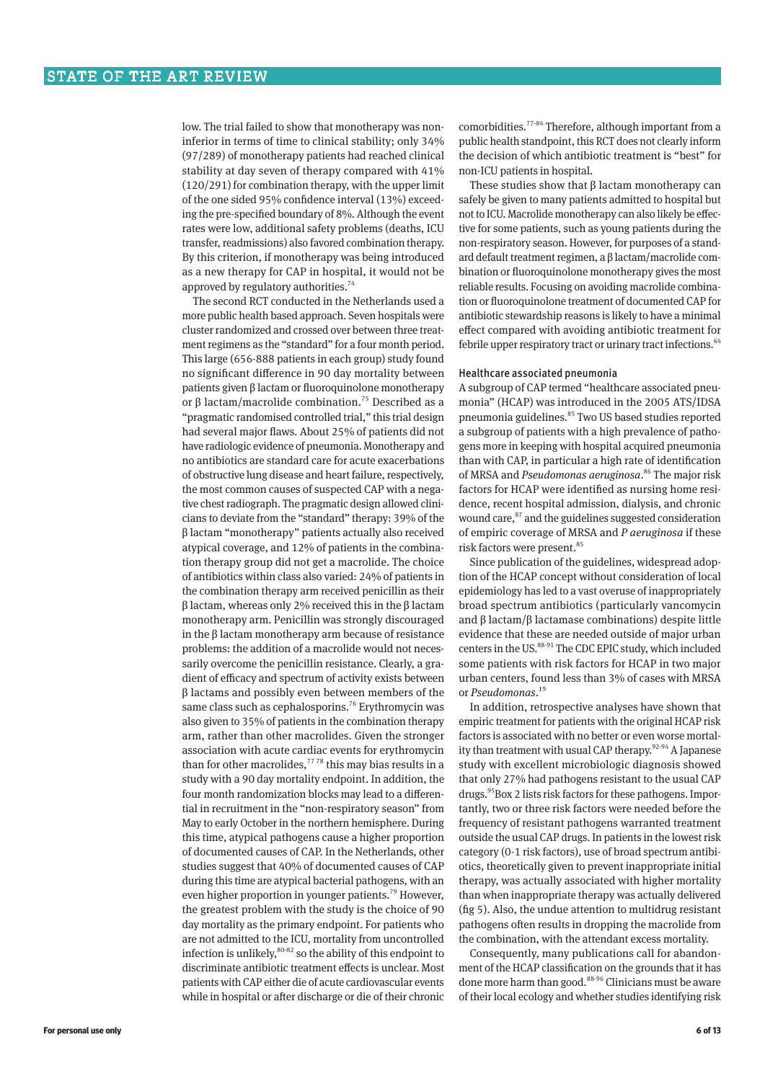low. The trial failed to show that monotherapy was noninferior in terms of time to clinical stability; only 34% (97/289) of monotherapy patients had reached clinical stability at day seven of therapy compared with 41% (120/291) for combination therapy, with the upper limit of the one sided 95% confidence interval (13%) exceeding the pre-specified boundary of 8%. Although the event rates were low, additional safety problems (deaths, ICU transfer, readmissions) also favored combination therapy. By this criterion, if monotherapy was being introduced as a new therapy for CAP in hospital, it would not be approved by regulatory authorities.<sup>74</sup>

The second RCT conducted in the Netherlands used a more public health based approach. Seven hospitals were cluster randomized and crossed over between three treatment regimens as the "standard" for a four month period. This large (656-888 patients in each group) study found no significant difference in 90 day mortality between patients given β lactam or fluoroquinolone monotherapy or β lactam/macrolide combination.<sup>75</sup> Described as a "pragmatic randomised controlled trial," this trial design had several major flaws. About 25% of patients did not have radiologic evidence of pneumonia. Monotherapy and no antibiotics are standard care for acute exacerbations of obstructive lung disease and heart failure, respectively, the most common causes of suspected CAP with a negative chest radiograph. The pragmatic design allowed clinicians to deviate from the "standard" therapy: 39% of the β lactam "monotherapy" patients actually also received atypical coverage, and 12% of patients in the combina‑ tion therapy group did not get a macrolide. The choice of antibiotics within class also varied: 24% of patients in the combination therapy arm received penicillin as their β lactam, whereas only 2% received this in the β lactam monotherapy arm. Penicillin was strongly discouraged in the β lactam monotherapy arm because of resistance problems: the addition of a macrolide would not necessarily overcome the penicillin resistance. Clearly, a gradient of efficacy and spectrum of activity exists between β lactams and possibly even between members of the same class such as cephalosporins.<sup>76</sup> Erythromycin was also given to 35% of patients in the combination therapy arm, rather than other macrolides. Given the stronger association with acute cardiac events for erythromycin than for other macrolides, $7778$  this may bias results in a study with a 90 day mortality endpoint. In addition, the four month randomization blocks may lead to a differential in recruitment in the "non-respiratory season" from May to early October in the northern hemisphere. During this time, atypical pathogens cause a higher proportion of documented causes of CAP. In the Netherlands, other studies suggest that 40% of documented causes of CAP during this time are atypical bacterial pathogens, with an even higher proportion in younger patients.<sup>79</sup> However, the greatest problem with the study is the choice of 90 day mortality as the primary endpoint. For patients who are not admitted to the ICU, mortality from uncontrolled infection is unlikely, $80-82$  so the ability of this endpoint to discriminate antibiotic treatment effects is unclear. Most patients with CAP either die of acute cardiovascular events while in hospital or after discharge or die of their chronic

comorbidities.77‑84 Therefore, although important from a public health standpoint, this RCT does not clearly inform the decision of which antibiotic treatment is "best" for non-ICU patients in hospital.

These studies show that  $\beta$  lactam monotherapy can safely be given to many patients admitted to hospital but not to ICU. Macrolide monotherapy can also likely be effective for some patients, such as young patients during the non-respiratory season. However, for purposes of a standard default treatment regimen, a  $\beta$  lactam/macrolide combination or fluoroquinolone monotherapy gives the most reliable results. Focusing on avoiding macrolide combination or fluoroquinolone treatment of documented CAP for antibiotic stewardship reasons is likely to have a minimal effect compared with avoiding antibiotic treatment for febrile upper respiratory tract or urinary tract infections.<sup>64</sup>

#### Healthcare associated pneumonia

A subgroup of CAP termed "healthcare associated pneumonia" (HCAP) was introduced in the 2005 ATS/IDSA pneumonia guidelines.<sup>85</sup> Two US based studies reported a subgroup of patients with a high prevalence of pathogens more in keeping with hospital acquired pneumonia than with CAP, in particular a high rate of identification of MRSA and *Pseudomonas aeruginosa*. 86 The major risk factors for HCAP were identified as nursing home residence, recent hospital admission, dialysis, and chronic wound care,<sup>87</sup> and the guidelines suggested consideration of empiric coverage of MRSA and *P aeruginosa* if these risk factors were present.<sup>85</sup>

Since publication of the guidelines, widespread adoption of the HCAP concept without consideration of local epidemiology has led to a vast overuse of inappropriately broad spectrum antibiotics (particularly vancomycin and β lactam/β lactamase combinations) despite little evidence that these are needed outside of major urban centers in the US.<sup>88-91</sup> The CDC EPIC study, which included some patients with risk factors for HCAP in two major urban centers, found less than 3% of cases with MRSA or *Pseudomonas*. 19

In addition, retrospective analyses have shown that empiric treatment for patients with the original HCAP risk factors is associated with no better or even worse mortality than treatment with usual CAP therapy.<sup>92-94</sup> A Japanese study with excellent microbiologic diagnosis showed that only 27% had pathogens resistant to the usual CAP drugs.<sup>95</sup>Box 2 lists risk factors for these pathogens. Importantly, two or three risk factors were needed before the frequency of resistant pathogens warranted treatment outside the usual CAP drugs. In patients in the lowest risk category (0-1 risk factors), use of broad spectrum antibiotics, theoretically given to prevent inappropriate initial therapy, was actually associated with higher mortality than when inappropriate therapy was actually delivered (fig 5). Also, the undue attention to multidrug resistant pathogens often results in dropping the macrolide from the combination, with the attendant excess mortality.

Consequently, many publications call for abandonment of the HCAP classification on the grounds that it has done more harm than good.<sup>88-96</sup> Clinicians must be aware of their local ecology and whether studies identifying risk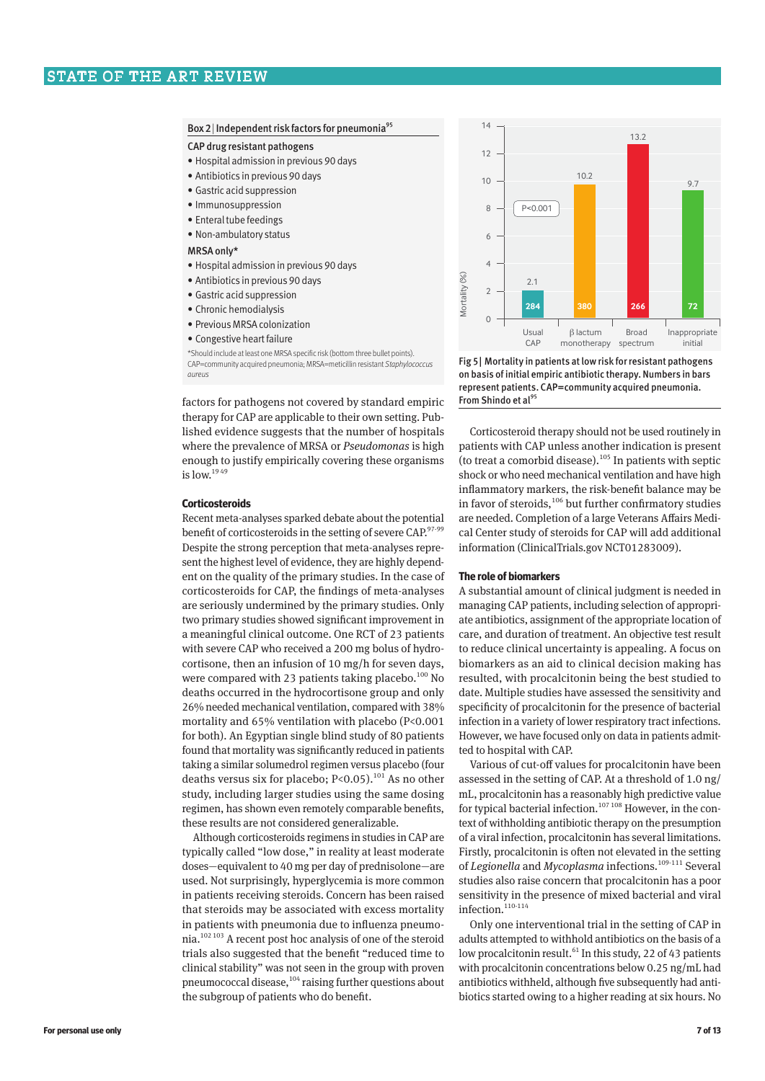#### Box 2 | Independent risk factors for pneumonia<sup>95</sup>

#### CAP drug resistant pathogens

- Hospital admission in previous 90 days
- Antibiotics in previous 90 days
- Gastric acid suppression
- Immunosuppression
- Enteral tube feedings
- Non-ambulatory status

#### MRSA only\*

- Hospital admission in previous 90 days
- Antibiotics in previous 90 days
- Gastric acid suppression
- Chronic hemodialysis
- Previous MRSA colonization
- Congestive heart failure

\*Should include at least one MRSA specific risk (bottom three bullet points). CAP=community acquired pneumonia; MRSA=meticillin resistant *Staphylococcus aureus*

factors for pathogens not covered by standard empiric therapy for CAP are applicable to their own setting. Pub‑ lished evidence suggests that the number of hospitals where the prevalence of MRSA or *Pseudomonas* is high enough to justify empirically covering these organisms is low. $1949$ 

#### **Corticosteroids**

Recent meta-analyses sparked debate about the potential benefit of corticosteroids in the setting of severe CAP.<sup>97-99</sup> Despite the strong perception that meta-analyses repre‑ sent the highest level of evidence, they are highly dependent on the quality of the primary studies. In the case of corticosteroids for CAP, the findings of meta-analyses are seriously undermined by the primary studies. Only two primary studies showed significant improvement in a meaningful clinical outcome. One RCT of 23 patients with severe CAP who received a 200 mg bolus of hydrocortisone, then an infusion of 10 mg/h for seven days, were compared with 23 patients taking placebo.<sup>100</sup> No deaths occurred in the hydrocortisone group and only 26% needed mechanical ventilation, compared with 38% mortality and 65% ventilation with placebo (P<0.001 for both). An Egyptian single blind study of 80 patients found that mortality was significantly reduced in patients taking a similar solumedrol regimen versus placebo (four deaths versus six for placebo; P<0.05).<sup>101</sup> As no other study, including larger studies using the same dosing regimen, has shown even remotely comparable benefits, these results are not considered generalizable.

Although corticosteroids regimens in studies in CAP are typically called "low dose," in reality at least moderate doses—equivalent to 40 mg per day of prednisolone—are used. Not surprisingly, hyperglycemia is more common in patients receiving steroids. Concern has been raised that steroids may be associated with excess mortality in patients with pneumonia due to influenza pneumonia.102 103 A recent post hoc analysis of one of the steroid trials also suggested that the benefit "reduced time to clinical stability" was not seen in the group with proven pneumococcal disease,<sup>104</sup> raising further questions about the subgroup of patients who do benefit.



Fig 5| Mortality in patients at low risk for resistant pathogens on basis of initial empiric antibiotic therapy. Numbers in bars represent patients. CAP=community acquired pneumonia. From Shindo et al<sup>95</sup>

Corticosteroid therapy should not be used routinely in patients with CAP unless another indication is present (to treat a comorbid disease).<sup>105</sup> In patients with septic shock or who need mechanical ventilation and have high inflammatory markers, the risk-benefit balance may be in favor of steroids,106 but further confirmatory studies are needed. Completion of a large Veterans Affairs Medical Center study of steroids for CAP will add additional information (ClinicalTrials.gov NCT01283009).

# **The role of biomarkers**

A substantial amount of clinical judgment is needed in managing CAP patients, including selection of appropriate antibiotics, assignment of the appropriate location of care, and duration of treatment. An objective test result to reduce clinical uncertainty is appealing. A focus on biomarkers as an aid to clinical decision making has resulted, with procalcitonin being the best studied to date. Multiple studies have assessed the sensitivity and specificity of procalcitonin for the presence of bacterial infection in a variety of lower respiratory tract infections. However, we have focused only on data in patients admitted to hospital with CAP.

Various of cut-off values for procalcitonin have been assessed in the setting of CAP. At a threshold of 1.0 ng/ mL, procalcitonin has a reasonably high predictive value for typical bacterial infection.<sup>107 108</sup> However, in the context of withholding antibiotic therapy on the presumption of a viral infection, procalcitonin has several limitations. Firstly, procalcitonin is often not elevated in the setting of *Legionella* and *Mycoplasma* infections.<sup>109-111</sup> Several studies also raise concern that procalcitonin has a poor sensitivity in the presence of mixed bacterial and viral infection. $110-114$ 

Only one interventional trial in the setting of CAP in adults attempted to withhold antibiotics on the basis of a low procalcitonin result.<sup>61</sup> In this study, 22 of 43 patients with procalcitonin concentrations below 0.25 ng/mL had antibiotics withheld, although five subsequently had antibiotics started owing to a higher reading at six hours. No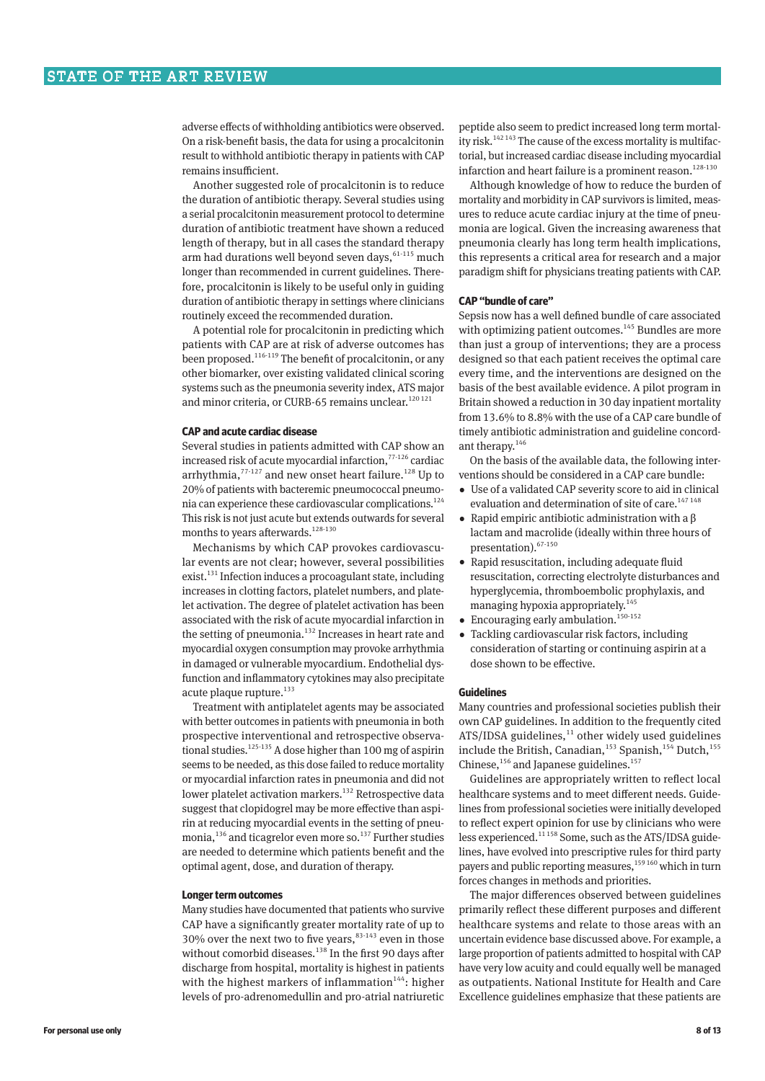adverse effects of withholding antibiotics were observed. On a risk-benefit basis, the data for using a procalcitonin result to withhold antibiotic therapy in patients with CAP remains insufficient.

Another suggested role of procalcitonin is to reduce the duration of antibiotic therapy. Several studies using a serial procalcitonin measurement protocol to determine duration of antibiotic treatment have shown a reduced length of therapy, but in all cases the standard therapy arm had durations well beyond seven days,  $61-115$  much longer than recommended in current guidelines. Therefore, procalcitonin is likely to be useful only in guiding duration of antibiotic therapy in settings where clinicians routinely exceed the recommended duration.

A potential role for procalcitonin in predicting which patients with CAP are at risk of adverse outcomes has been proposed.<sup>116-119</sup> The benefit of procalcitonin, or any other biomarker, over existing validated clinical scoring systems such as the pneumonia severity index, ATS major and minor criteria, or CURB-65 remains unclear.<sup>120 121</sup>

## **CAP and acute cardiac disease**

Several studies in patients admitted with CAP show an increased risk of acute myocardial infarction.<sup>77-126</sup> cardiac arrhythmia, $77-127$  and new onset heart failure.<sup>128</sup> Up to 20% of patients with bacteremic pneumococcal pneumonia can experience these cardiovascular complications.124 This risk is not just acute but extends outwards for several months to years afterwards.<sup>128-130</sup>

Mechanisms by which CAP provokes cardiovascular events are not clear; however, several possibilities exist. $131$  Infection induces a procoagulant state, including increases in clotting factors, platelet numbers, and platelet activation. The degree of platelet activation has been associated with the risk of acute myocardial infarction in the setting of pneumonia.<sup>132</sup> Increases in heart rate and myocardial oxygen consumption may provoke arrhythmia in damaged or vulnerable myocardium. Endothelial dysfunction and inflammatory cytokines may also precipitate acute plaque rupture. $133$ 

Treatment with antiplatelet agents may be associated with better outcomes in patients with pneumonia in both prospective interventional and retrospective observational studies.<sup>125-135</sup> A dose higher than 100 mg of aspirin seems to be needed, as this dose failed to reduce mortality or myocardial infarction rates in pneumonia and did not lower platelet activation markers.<sup>132</sup> Retrospective data suggest that clopidogrel may be more effective than aspirin at reducing myocardial events in the setting of pneumonia,<sup>136</sup> and ticagrelor even more so.<sup>137</sup> Further studies are needed to determine which patients benefit and the optimal agent, dose, and duration of therapy.

#### **Longer term outcomes**

Many studies have documented that patients who survive CAP have a significantly greater mortality rate of up to 30% over the next two to five years,  $83.143$  even in those without comorbid diseases.<sup>138</sup> In the first 90 days after discharge from hospital, mortality is highest in patients with the highest markers of inflammation<sup>144</sup>: higher levels of pro-adrenomedullin and pro-atrial natriuretic

peptide also seem to predict increased long term mortality risk.<sup>142 143</sup> The cause of the excess mortality is multifactorial, but increased cardiac disease including myocardial infarction and heart failure is a prominent reason.<sup>128-130</sup>

Although knowledge of how to reduce the burden of mortality and morbidity in CAP survivors is limited, measures to reduce acute cardiac injury at the time of pneumonia are logical. Given the increasing awareness that pneumonia clearly has long term health implications, this represents a critical area for research and a major paradigm shift for physicians treating patients with CAP.

### **CAP "bundle of care"**

Sepsis now has a well defined bundle of care associated with optimizing patient outcomes.<sup>145</sup> Bundles are more than just a group of interventions; they are a process designed so that each patient receives the optimal care every time, and the interventions are designed on the basis of the best available evidence. A pilot program in Britain showed a reduction in 30 day inpatient mortality from 13.6% to 8.8% with the use of a CAP care bundle of timely antibiotic administration and guideline concordant therapy.<sup>146</sup>

On the basis of the available data, the following interventions should be considered in a CAP care bundle:

- •  Use of a validated CAP severity score to aid in clinical evaluation and determination of site of care.<sup>147 148</sup>
- •  Rapid empiric antibiotic administration with a β lactam and macrolide (ideally within three hours of presentation).  $67-150$
- •  Rapid resuscitation, including adequate fluid resuscitation, correcting electrolyte disturbances and hyperglycemia, thromboembolic prophylaxis, and managing hypoxia appropriately. $145$
- Encouraging early ambulation.<sup>150-152</sup>
- •  Tackling cardiovascular risk factors, including consideration of starting or continuing aspirin at a dose shown to be effective.

#### **Guidelines**

Many countries and professional societies publish their own CAP guidelines. In addition to the frequently cited  $ATS/IDSA$  guidelines, $11$  other widely used guidelines include the British, Canadian,<sup>153</sup> Spanish,<sup>154</sup> Dutch,<sup>155</sup> Chinese,<sup>156</sup> and Japanese guidelines.<sup>157</sup>

Guidelines are appropriately written to reflect local healthcare systems and to meet different needs. Guidelines from professional societies were initially developed to reflect expert opinion for use by clinicians who were less experienced.<sup>11158</sup> Some, such as the ATS/IDSA guidelines, have evolved into prescriptive rules for third party payers and public reporting measures,<sup>159 160</sup> which in turn forces changes in methods and priorities.

The major differences observed between guidelines primarily reflect these different purposes and different healthcare systems and relate to those areas with an uncertain evidence base discussed above. For example, a large proportion of patients admitted to hospital with CAP have very low acuity and could equally well be managed as outpatients. National Institute for Health and Care Excellence guidelines emphasize that these patients are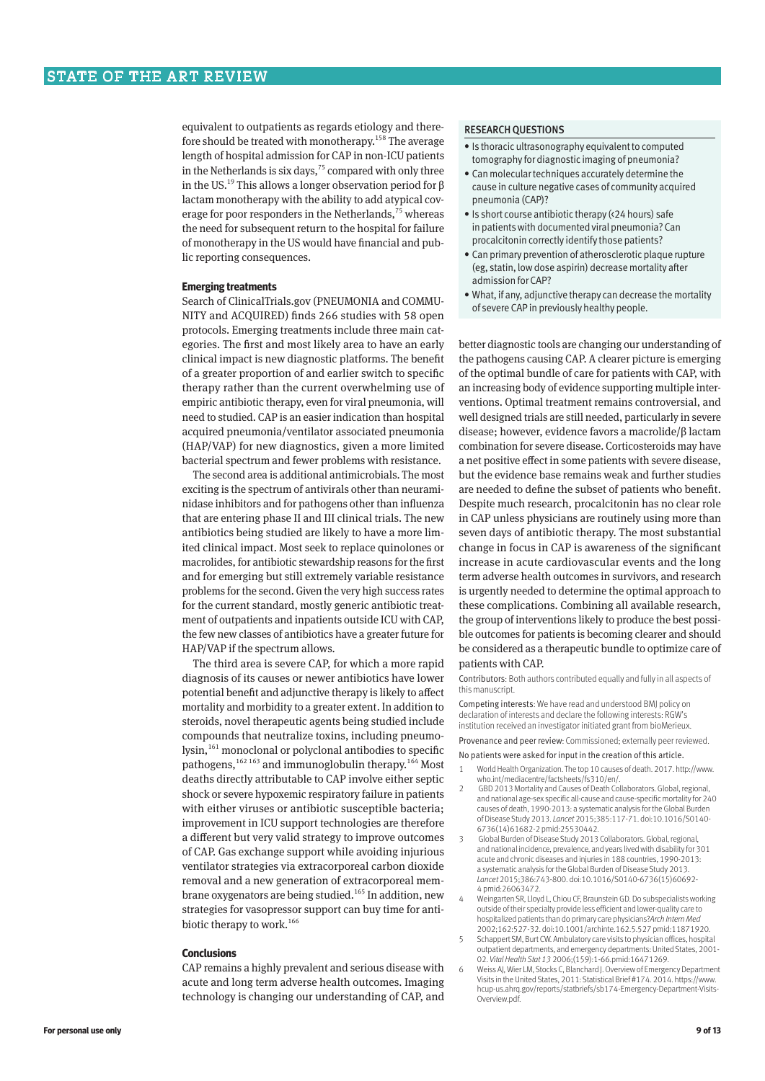equivalent to outpatients as regards etiology and therefore should be treated with monotherapy.158 The average length of hospital admission for CAP in non-ICU patients in the Netherlands is six days,  $75$  compared with only three in the US.<sup>19</sup> This allows a longer observation period for β lactam monotherapy with the ability to add atypical coverage for poor responders in the Netherlands, $75$  whereas the need for subsequent return to the hospital for failure of monotherapy in the US would have financial and public reporting consequences.

# **Emerging treatments**

Search of ClinicalTrials.gov (PNEUMONIA and COMMU-NITY and ACQUIRED) finds 266 studies with 58 open protocols. Emerging treatments include three main categories. The first and most likely area to have an early clinical impact is new diagnostic platforms. The benefit of a greater proportion of and earlier switch to specific therapy rather than the current overwhelming use of empiric antibiotic therapy, even for viral pneumonia, will need to studied. CAP is an easier indication than hospital acquired pneumonia/ventilator associated pneumonia (HAP/VAP) for new diagnostics, given a more limited bacterial spectrum and fewer problems with resistance.

The second area is additional antimicrobials. The most exciting is the spectrum of antivirals other than neuraminidase inhibitors and for pathogens other than influenza that are entering phase II and III clinical trials. The new antibiotics being studied are likely to have a more limited clinical impact. Most seek to replace quinolones or macrolides, for antibiotic stewardship reasons for the first and for emerging but still extremely variable resistance problems for the second. Given the very high success rates for the current standard, mostly generic antibiotic treatment of outpatients and inpatients outside ICU with CAP, the few new classes of antibiotics have a greater future for HAP/VAP if the spectrum allows.

The third area is severe CAP, for which a more rapid diagnosis of its causes or newer antibiotics have lower potential benefit and adjunctive therapy is likely to affect mortality and morbidity to a greater extent. In addition to steroids, novel therapeutic agents being studied include compounds that neutralize toxins, including pneumolysin,<sup>161</sup> monoclonal or polyclonal antibodies to specific pathogens,<sup>162 163</sup> and immunoglobulin therapy.<sup>164</sup> Most deaths directly attributable to CAP involve either septic shock or severe hypoxemic respiratory failure in patients with either viruses or antibiotic susceptible bacteria; improvement in ICU support technologies are therefore a different but very valid strategy to improve outcomes of CAP. Gas exchange support while avoiding injurious ventilator strategies via extracorporeal carbon dioxide removal and a new generation of extracorporeal mem‑ brane oxygenators are being studied.<sup>165</sup> In addition, new strategies for vasopressor support can buy time for antibiotic therapy to work.<sup>166</sup>

# **Conclusions**

CAP remains a highly prevalent and serious disease with acute and long term adverse health outcomes. Imaging technology is changing our understanding of CAP, and

#### RESEARCH QUESTIONS

- Is thoracic ultrasonography equivalent to computed tomography for diagnostic imaging of pneumonia?
- Can molecular techniques accurately determine the cause in culture negative cases of community acquired pneumonia (CAP)?
- Is short course antibiotic therapy (<24 hours) safe in patients with documented viral pneumonia? Can procalcitonin correctly identify those patients?
- Can primary prevention of atherosclerotic plaque rupture (eg, statin, low dose aspirin) decrease mortality after admission for CAP?
- What, if any, adjunctive therapy can decrease the mortality of severe CAP in previously healthy people.

better diagnostic tools are changing our understanding of the pathogens causing CAP. A clearer picture is emerging of the optimal bundle of care for patients with CAP, with an increasing body of evidence supporting multiple interventions. Optimal treatment remains controversial, and well designed trials are still needed, particularly in severe disease; however, evidence favors a macrolide/β lactam combination for severe disease. Corticosteroids may have a net positive effect in some patients with severe disease, but the evidence base remains weak and further studies are needed to define the subset of patients who benefit. Despite much research, procalcitonin has no clear role in CAP unless physicians are routinely using more than seven days of antibiotic therapy. The most substantial change in focus in CAP is awareness of the significant increase in acute cardiovascular events and the long term adverse health outcomes in survivors, and research is urgently needed to determine the optimal approach to these complications. Combining all available research, the group of interventions likely to produce the best possible outcomes for patients is becoming clearer and should be considered as a therapeutic bundle to optimize care of patients with CAP.

Contributors: Both authors contributed equally and fully in all aspects of this manuscript.

Competing interests: We have read and understood BMJ policy on declaration of interests and declare the following interests: RGW's institution received an investigator initiated grant from bioMerieux.

Provenance and peer review: Commissioned; externally peer reviewed. No patients were asked for input in the creation of this article.

- 1 World Health Organization. The top 10 causes of death. 2017. http://www. who.int/mediacentre/factsheets/fs310/en/.
- 2 GBD 2013 Mortality and Causes of Death Collaborators. Global, regional, and national age-sex specific all-cause and cause-specific mortality for 240 causes of death, 1990-2013: a systematic analysis for the Global Burden of Disease Study 2013. *Lancet* 2015;385:117-71. doi:10.1016/S0140- 6736(14)61682-2 pmid:25530442.
- 3 Global Burden of Disease Study 2013 Collaborators. Global, regional, and national incidence, prevalence, and years lived with disability for 301 acute and chronic diseases and injuries in 188 countries, 1990-2013: a systematic analysis for the Global Burden of Disease Study 2013. *Lancet* 2015;386:743-800. doi:10.1016/S0140-6736(15)60692- 4 pmid:26063472.
- 4 Weingarten SR, Lloyd L, Chiou CF, Braunstein GD. Do subspecialists working outside of their specialty provide less efficient and lower-quality care to hospitalized patients than do primary care physicians?*Arch Intern Med* 2002;162:527-32. doi:10.1001/archinte.162.5.527 pmid:11871920.
- 5 Schappert SM, Burt CW. Ambulatory care visits to physician offices, hospital outpatient departments, and emergency departments: United States, 2001- 02. *Vital Health Stat 13* 2006;(159):1-66.pmid:16471269.
- 6 Weiss AJ, Wier LM, Stocks C, Blanchard J. Overview of Emergency Department Visits in the United States, 2011: Statistical Brief #174. 2014. https://www. hcup-us.ahrq.gov/reports/statbriefs/sb174-Emergency-Department-Visits-Overview.pdf.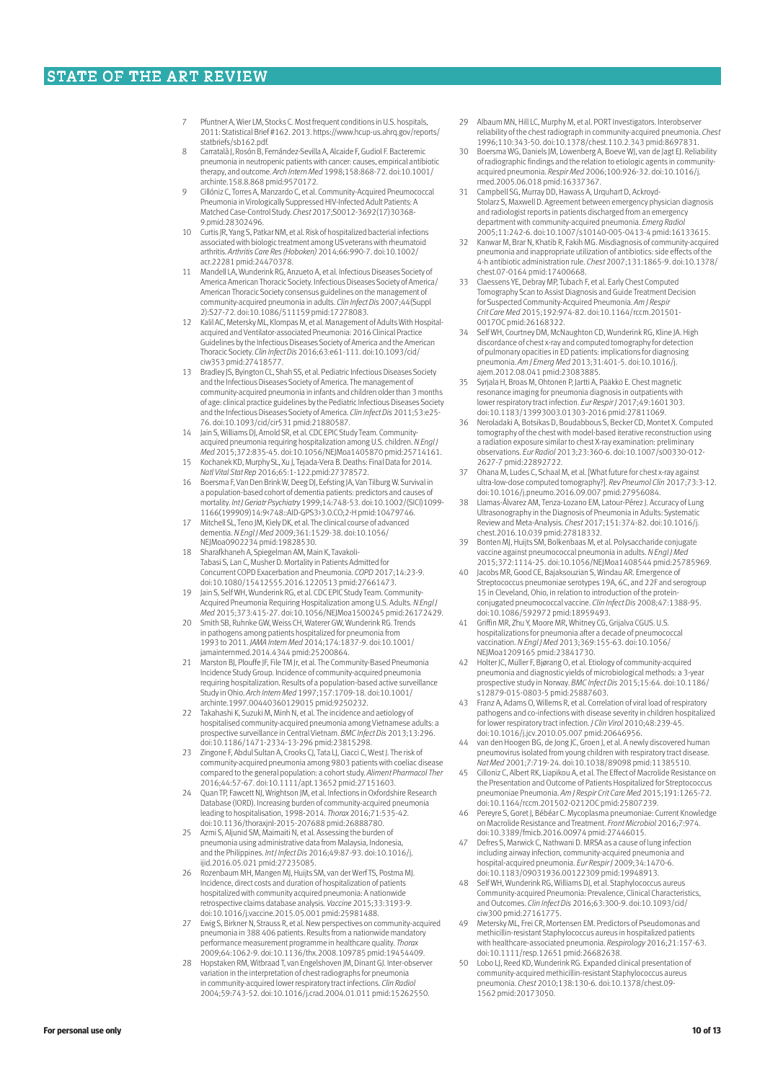- Pfuntner A, Wier LM, Stocks C. Most frequent conditions in U.S. hospitals 2011: Statistical Brief #162. 2013. https://www.hcup-us.ahrq.gov/reports/ statbriefs/sb162.pdf
- 8 Carratalà J, Rosón B, Fernández-Sevilla A, Alcaide F, Gudiol F. Bacteremic pneumonia in neutropenic patients with cancer: causes, empirical antibiotic therapy, and outcome. *Arch Intern Med* 1998;158:868-72. doi:10.1001/ archinte.158.8.868 pmid:9570172.
- 9 Cillóniz C, Torres A, Manzardo C, et al. Community-Acquired Pneumococcal Pneumonia in Virologically Suppressed HIV-Infected Adult Patients: A Matched Case-Control Study. *Chest* 2017;S0012-3692(17)30368- 9.pmid:28302496.
- 10 Curtis JR, Yang S, Patkar NM, et al. Risk of hospitalized bacterial infections associated with biologic treatment among US veterans with rheumatoid arthritis. *Arthritis Care Res (Hoboken)* 2014;66:990-7. doi:10.1002/ acr.22281 pmid:24470378.
- 11 Mandell LA, Wunderink RG, Anzueto A, et al. Infectious Diseases Society of America American Thoracic Society. Infectious Diseases Society of America/ American Thoracic Society consensus guidelines on the management of community-acquired pneumonia in adults. *Clin Infect Dis* 2007;44(Suppl 2):S27-72. doi:10.1086/511159 pmid:17278083.
- 12 Kalil AC, Metersky ML, Klompas M, et al. Management of Adults With Hospital-acquired and Ventilator-associated Pneumonia: 2016 Clinical Practice Guidelines by the Infectious Diseases Society of America and the American Thoracic Society. *Clin Infect Dis* 2016;63:e61-111. doi:10.1093/cid/ ciw353 pmid:27418577.
- 13 Bradley JS, Byington CL, Shah SS, et al. Pediatric Infectious Diseases Society and the Infectious Diseases Society of America. The management of community-acquired pneumonia in infants and children older than 3 months of age: clinical practice guidelines by the Pediatric Infectious Diseases Society and the Infectious Diseases Society of America. *Clin Infect Dis* 2011;53:e25- 76. doi:10.1093/cid/cir531 pmid:21880587.
- 14 Jain S, Williams DJ, Arnold SR, et al. CDC EPIC Study Team. Communityacquired pneumonia requiring hospitalization among U.S. children. *N Engl J Med* 2015;372:835-45. doi:10.1056/NEJMoa1405870 pmid:25714161. 15 Kochanek KD, Murphy SL, Xu J, Tejada-Vera B. Deaths: Final Data for 2014.
- *Natl Vital Stat Rep* 2016;65:1-122.pmid:27378572. 16 Boersma F, Van Den Brink W, Deeg DJ, Eefsting JA, Van Tilburg W. Survival in
- a population-based cohort of dementia patients: predictors and causes of mortality. *Int J Geriatr Psychiatry* 1999;14:748-53. doi:10.1002/(SICI)1099- 1166(199909)14:9<748::AID-GPS3>3.0.CO;2-H pmid:10479746. 17 Mitchell SL, Teno JM, Kiely DK, et al. The clinical course of advanced
- dementia. *N Engl J Med* 2009;361:1529-38. doi:10.1056/ NEJMoa0902234 pmid:19828530.
- 18 Sharafkhaneh A, Spiegelman AM, Main K, Tavakoli-Tabasi S, Lan C, Musher D. Mortality in Patients Admitted for Concurrent COPD Exacerbation and Pneumonia. *COPD* 2017;14:23-9. doi:10.1080/15412555.2016.1220513 pmid:27661473.
- 19 Jain S, Self WH, Wunderink RG, et al. CDC EPIC Study Team. Community-Acquired Pneumonia Requiring Hospitalization among U.S. Adults. *N Engl J Med* 2015;373:415-27. doi:10.1056/NEJMoa1500245 pmid:26172429.
- 20 Smith SB, Ruhnke GW, Weiss CH, Waterer GW, Wunderink RG. Trends in pathogens among patients hospitalized for pneumonia from 1993 to 2011. *JAMA Intern Med* 2014;174:1837-9. doi:10.1001/ jamainternmed.2014.4344 pmid:25200864.
- 21 Marston BJ, Plouffe JF, File TM Jr, et al. The Community-Based Pneumonia Incidence Study Group. Incidence of community-acquired pneumonia requiring hospitalization. Results of a population-based active surveillance Study in Ohio. *Arch Intern Med* 1997;157:1709-18. doi:10.1001/ archinte.1997.00440360129015 pmid:9250232.
- Takahashi K, Suzuki M, Minh N, et al. The incidence and aetiology of hospitalised community-acquired pneumonia among Vietnamese adults: a prospective surveillance in Central Vietnam. *BMC Infect Dis* 2013;13:296. doi:10.1186/1471-2334-13-296 pmid:23815298.
- 23 Zingone F, Abdul Sultan A, Crooks CJ, Tata LJ, Ciacci C, West J. The risk of community-acquired pneumonia among 9803 patients with coeliac disease compared to the general population: a cohort study. *Aliment Pharmacol Ther* 2016;44:57-67. doi:10.1111/apt.13652 pmid:27151603.
- 24 Quan TP, Fawcett NJ, Wrightson JM, et al. Infections in Oxfordshire Research Database (IORD). Increasing burden of community-acquired pneumonia leading to hospitalisation, 1998-2014. *Thorax* 2016;71:535-42. doi:10.1136/thoraxjnl-2015-207688 pmid:26888780.
- 25 Azmi S, Aljunid SM, Maimaiti N, et al. Assessing the burden of pneumonia using administrative data from Malaysia, Indonesia, and the Philippines. *Int J Infect Dis* 2016;49:87-93. doi:10.1016/j. ijid.2016.05.021 pmid:27235085.
- 26 Rozenbaum MH, Mangen MJ, Huijts SM, van der Werf TS, Postma MJ. Incidence, direct costs and duration of hospitalization of patients hospitalized with community acquired pneumonia: A nationwide retrospective claims database analysis. *Vaccine* 2015;33:3193-9. doi:10.1016/j.vaccine.2015.05.001 pmid:25981488.
- 27 Ewig S, Birkner N, Strauss R, et al. New perspectives on community-acquired pneumonia in 388 406 patients. Results from a nationwide mandatory performance measurement programme in healthcare quality. *Thorax* 2009;64:1062-9. doi:10.1136/thx.2008.109785 pmid:19454409.
- 28 Hopstaken RM, Witbraad T, van Engelshoven JM, Dinant GJ. Inter-observer variation in the interpretation of chest radiographs for pneumonia in community-acquired lower respiratory tract infections. *Clin Radiol* 2004;59:743-52. doi:10.1016/j.crad.2004.01.011 pmid:15262550.
- 29 Albaum MN, Hill LC, Murphy M, et al. PORT Investigators. Interobserver reliability of the chest radiograph in community-acquired pneumonia. *Chest* 1996;110:343-50. doi:10.1378/chest.110.2.343 pmid:8697831.
- 30 Boersma WG, Daniels JM, Löwenberg A, Boeve WJ, van de Jagt EJ. Reliability of radiographic findings and the relation to etiologic agents in communityacquired pneumonia. *Respir Med* 2006;100:926-32. doi:10.1016/j. rmed.2005.06.018 pmid:16337367.
- 31 Campbell SG, Murray DD, Hawass A, Urquhart D, Ackroyd-Stolarz S, Maxwell D. Agreement between emergency physician diagnosis and radiologist reports in patients discharged from an emergency department with community-acquired pneumonia. *Emerg Radiol* 2005;11:242-6. doi:10.1007/s10140-005-0413-4 pmid:16133615.
- 32 Kanwar M, Brar N, Khatib R, Fakih MG. Misdiagnosis of community-acquired pneumonia and inappropriate utilization of antibiotics: side effects of the 4-h antibiotic administration rule. *Chest* 2007;131:1865-9. doi:10.1378/ chest.07-0164 pmid:17400668.
- 33 Claessens YE, Debray MP, Tubach F, et al. Early Chest Computed Tomography Scan to Assist Diagnosis and Guide Treatment Decision for Suspected Community-Acquired Pneumonia. *Am J Respi Crit Care Med* 2015;192:974-82. doi:10.1164/rccm.201501- 0017OC pmid:26168322.
- 34 Self WH, Courtney DM, McNaughton CD, Wunderink RG, Kline JA. High discordance of chest x-ray and computed tomography for detection of pulmonary opacities in ED patients: implications for diagnosing pneumonia. *Am J Emerg Med* 2013;31:401-5. doi:10.1016/j. ajem.2012.08.041 pmid:23083885.
- 35 Syrjala H, Broas M, Ohtonen P, Jartti A, Pääkkö E. Chest magnetic resonance imaging for pneumonia diagnosis in outpatients with lower respiratory tract infection. *Eur Respir J* 2017;49:1601303. doi:10.1183/13993003.01303-2016 pmid:27811069.
- 36 Neroladaki A, Botsikas D, Boudabbous S, Becker CD, Montet X. Computed tomography of the chest with model-based iterative reconstruction using a radiation exposure similar to chest X-ray examination: preliminary observations. *Eur Radiol* 2013;23:360-6. doi:10.1007/s00330-012- 2627-7 pmid:22892722.
- 37 Ohana M, Ludes C, Schaal M, et al. [What future for chest x-ray against ultra-low-dose computed tomography?]. *Rev Pneumol Clin* 2017;73:3-12. doi:10.1016/j.pneumo.2016.09.007 pmid:27956084.
- 38 Llamas-Álvarez AM, Tenza-Lozano EM, Latour-Pérez J. Accuracy of Lung Ultrasonography in the Diagnosis of Pneumonia in Adults: Systematic Review and Meta-Analysis. *Chest* 2017;151:374-82. doi:10.1016/j. chest.2016.10.039 pmid:27818332.
- 39 Bonten MJ, Huijts SM, Bolkenbaas M, et al. Polysaccharide conjugate vaccine against pneumococcal pneumonia in adults. *N Engl J Med* 2015;372:1114-25. doi:10.1056/NEJMoa1408544 pmid:25785969.
- 40 Jacobs MR, Good CE, Bajaksouzian S, Windau AR. Emergence of Streptococcus pneumoniae serotypes 19A, 6C, and 22F and serogroup 15 in Cleveland, Ohio, in relation to introduction of the protein-conjugated pneumococcal vaccine. *Clin Infect Dis* 2008;47:1388-95. doi:10.1086/592972 pmid:18959493.
- 41 Griffin MR, Zhu Y, Moore MR, Whitney CG, Grijalva CGUS. U.S. hospitalizations for pneumonia after a decade of pneumococcal vaccination. *N Engl J Med* 2013;369:155-63. doi:10.1056/ NEJMoa1209165 pmid:23841730.
- 42 Holter JC, Müller F, Bjørang O, et al. Etiology of community-acquired pneumonia and diagnostic yields of microbiological methods: a 3-year prospective study in Norway. *BMC Infect Dis* 2015;15:64. doi:10.1186/ s12879-015-0803-5 pmid:25887603.
- Franz A, Adams O, Willems R, et al. Correlation of viral load of respiratory pathogens and co-infections with disease severity in children hospitalized for lower respiratory tract infection. *J Clin Virol* 2010;48:239-45. doi:10.1016/j.jcv.2010.05.007 pmid:20646956.
- 44 van den Hoogen BG, de Jong JC, Groen J, et al. A newly discovered human pneumovirus isolated from young children with respiratory tract disease. *Nat Med* 2001;7:719-24. doi:10.1038/89098 pmid:11385510.
- 45 Cilloniz C, Albert RK, Liapikou A, et al. The Effect of Macrolide Resistance on the Presentation and Outcome of Patients Hospitalized for Streptococcus pneumoniae Pneumonia. *Am J Respir Crit Care Med* 2015;191:1265-72. doi:10.1164/rccm.201502-0212OC pmid:25807239.
- Pereyre S, Goret J, Bébéar C. Mycoplasma pneumoniae: Current Knowledge on Macrolide Resistance and Treatment. *Front Microbiol* 2016;7:974. doi:10.3389/fmicb.2016.00974 pmid:27446015.
- Defres S, Marwick C, Nathwani D. MRSA as a cause of lung infection including airway infection, community-acquired pneumonia and hospital-acquired pneumonia. *Eur Respir J* 2009;34:1470-6. doi:10.1183/09031936.00122309 pmid:19948913.
- 48 Self WH, Wunderink RG, Williams DJ, et al. Staphylococcus aureus Community-acquired Pneumonia: Prevalence, Clinical Characteristics, and Outcomes. *Clin Infect Dis* 2016;63:300-9. doi:10.1093/cid/ ciw300 pmid:27161775.
- 49 Metersky ML, Frei CR, Mortensen EM. Predictors of Pseudomonas and methicillin-resistant Staphylococcus aureus in hospitalized patients with healthcare-associated pneumonia. *Respirology* 2016;21:157-63. doi:10.1111/resp.12651 pmid:26682638.
- 50 Lobo LJ, Reed KD, Wunderink RG. Expanded clinical presentation of community-acquired methicillin-resistant Staphylococcus aureus pneumonia. *Chest* 2010;138:130-6. doi:10.1378/chest.09- 1562 pmid:20173050.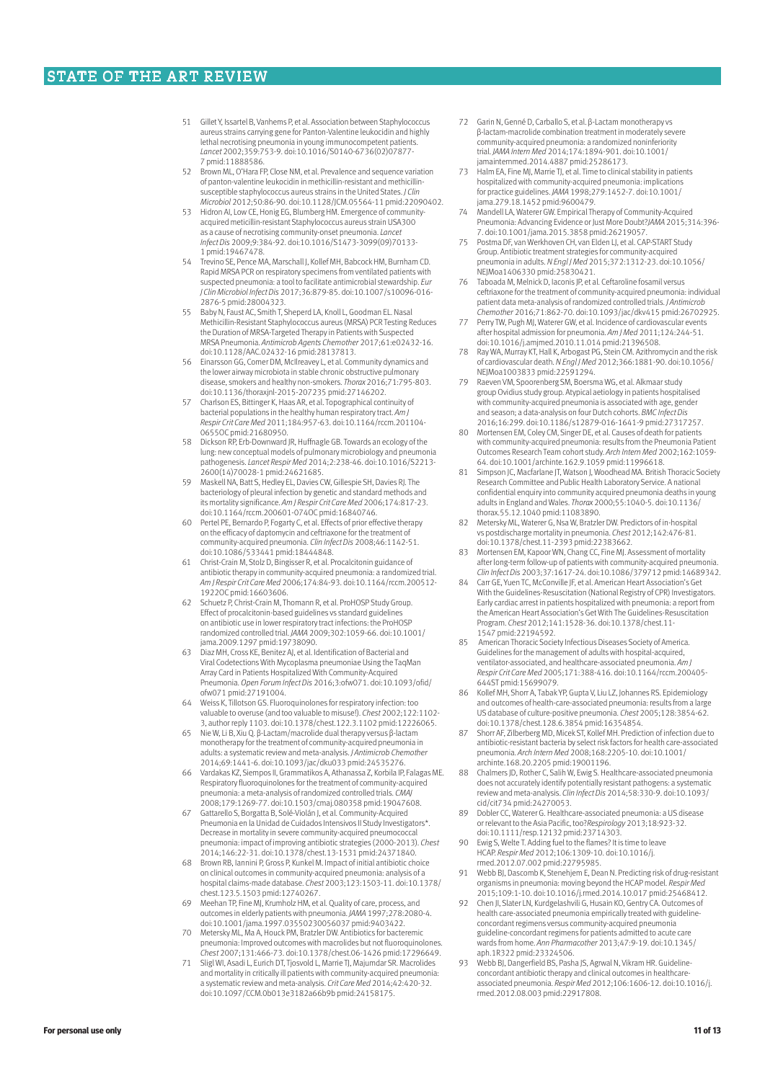- 51 Gillet Y, Issartel B, Vanhems P, et al. Association between Staphylococcus aureus strains carrying gene for Panton-Valentine leukocidin and highly lethal necrotising pneumonia in young immunocompetent patients. *Lancet* 2002;359:753-9. doi:10.1016/S0140-6736(02)07877- 7 pmid:11888586.
- 52 Brown ML, O'Hara FP, Close NM, et al. Prevalence and sequence variation of panton-valentine leukocidin in methicillin-resistant and methicillinsusceptible staphylococcus aureus strains in the United States. *J Clin Microbiol* 2012;50:86-90. doi:10.1128/JCM.05564-11 pmid:22090402.
- Hidron AI, Low CE, Honig EG, Blumberg HM. Emergence of community acquired meticillin-resistant Staphylococcus aureus strain USA300 as a cause of necrotising community-onset pneumonia. *Lancet Infect Dis* 2009;9:384-92. doi:10.1016/S1473-3099(09)70133- 1 pmid:19467478.
- 54 Trevino SE, Pence MA, Marschall J, Kollef MH, Babcock HM, Burnham CD. Rapid MRSA PCR on respiratory specimens from ventilated patients with suspected pneumonia: a tool to facilitate antimicrobial stewardship. *Eur J Clin Microbiol Infect Dis* 2017;36:879-85. doi:10.1007/s10096-016- 2876-5 pmid:28004323.
- 55 Baby N, Faust AC, Smith T, Sheperd LA, Knoll L, Goodman EL. Nasal Methicillin-Resistant Staphylococcus aureus (MRSA) PCR Testing Reduces the Duration of MRSA-Targeted Therapy in Patients with Suspected MRSA Pneumonia. *Antimicrob Agents Chemother* 2017;61:e02432-16. doi:10.1128/AAC.02432-16 pmid:28137813.
- 56 Einarsson GG, Comer DM, McIlreavey L, et al. Community dynamics and the lower airway microbiota in stable chronic obstructive pulmonary disease, smokers and healthy non-smokers. *Thorax* 2016;71:795-803. doi:10.1136/thoraxjnl-2015-207235 pmid:27146202.
- 57 Charlson ES, Bittinger K, Haas AR, et al. Topographical continuity of bacterial populations in the healthy human respiratory tract. *Am J Respir Crit Care Med* 2011;184:957-63. doi:10.1164/rccm.201104- 0655OC pmid:21680950.
- Dickson RP, Erb-Downward JR, Huffnagle GB. Towards an ecology of the lung: new conceptual models of pulmonary microbiology and pneumonia pathogenesis. *Lancet Respir Med* 2014;2:238-46. doi:10.1016/S2213- 2600(14)70028-1 pmid:24621685.
- 59 Maskell NA, Batt S, Hedley EL, Davies CW, Gillespie SH, Davies RJ. The bacteriology of pleural infection by genetic and standard methods and its mortality significance. *Am J Respir Crit Care Med* 2006;174:817-23. doi:10.1164/rccm.200601-074OC pmid:16840746.
- 60 Pertel PE, Bernardo P, Fogarty C, et al. Effects of prior effective therapy on the efficacy of daptomycin and ceftriaxone for the treatment of community-acquired pneumonia. *Clin Infect Dis* 2008;46:1142-51. doi:10.1086/533441 pmid:18444848.
- 61 Christ-Crain M, Stolz D, Bingisser R, et al. Procalcitonin guidance of antibiotic therapy in community-acquired pneumonia: a randomized trial. *Am J Respir Crit Care Med* 2006;174:84-93. doi:10.1164/rccm.200512-
- 1922OC pmid:16603606. 62 Schuetz P, Christ-Crain M, Thomann R, et al. ProHOSP Study Group. Effect of procalcitonin-based guidelines vs standard guidelines on antibiotic use in lower respiratory tract infections: the ProHOSP randomized controlled trial. *JAMA* 2009;302:1059-66. doi:10.1001/ jama.2009.1297 pmid:19738090.
- 63 Diaz MH, Cross KE, Benitez AJ, et al. Identification of Bacterial and Viral Codetections With Mycoplasma pneumoniae Using the TaqMan Array Card in Patients Hospitalized With Community-Acquired Pneumonia. *Open Forum Infect Dis* 2016;3:ofw071. doi:10.1093/ofid/ ofw071 pmid:27191004.
- Weiss K, Tillotson GS. Fluoroquinolones for respiratory infection: too valuable to overuse (and too valuable to misuse!). *Chest* 2002;122:1102- 3, author reply 1103. doi:10.1378/chest.122.3.1102 pmid:12226065.
- 65 Nie W, Li B, Xiu Q. β-Lactam/macrolide dual therapy versus β-lactam monotherapy for the treatment of community-acquired pneumonia in adults: a systematic review and meta-analysis. *J Antimicrob Chemother* 2014;69:1441-6. doi:10.1093/jac/dku033 pmid:24535276.
- 66 Vardakas KZ, Siempos II, Grammatikos A, Athanassa Z, Korbila IP, Falagas ME. Respiratory fluoroquinolones for the treatment of community-acquired pneumonia: a meta-analysis of randomized controlled trials. *CMAJ* 2008;179:1269-77. doi:10.1503/cmaj.080358 pmid:19047608.
- Gattarello S, Borgatta B, Solé-Violán J, et al. Community-Acquired Pneumonia en la Unidad de Cuidados Intensivos II Study Investigators\*. Decrease in mortality in severe community-acquired pneumococcal pneumonia: impact of improving antibiotic strategies (2000-2013). *Chest* 2014;146:22-31. doi:10.1378/chest.13-1531 pmid:24371840.
- 68 Brown RB, Iannini P, Gross P, Kunkel M. Impact of initial antibiotic choice on clinical outcomes in community-acquired pneumonia: analysis of a hospital claims-made database. *Chest* 2003;123:1503-11. doi:10.1378/ chest.123.5.1503 pmid:12740267.
- 69 Meehan TP, Fine MJ, Krumholz HM, et al. Quality of care, process, and outcomes in elderly patients with pneumonia. *JAMA* 1997;278:2080-4. doi:10.1001/jama.1997.03550230056037 pmid:9403422.
- 70 Metersky ML, Ma A, Houck PM, Bratzler DW. Antibiotics for bacteremic pneumonia: Improved outcomes with macrolides but not fluoroquinolones. *Chest* 2007;131:466-73. doi:10.1378/chest.06-1426 pmid:17296649.
- 71 Sligl WI, Asadi L, Eurich DT, Tjosvold L, Marrie TJ, Majumdar SR. Macrolides and mortality in critically ill patients with community-acquired pneumonia: a systematic review and meta-analysis. *Crit Care Med* 2014;42:420-32. doi:10.1097/CCM.0b013e3182a66b9b pmid:24158175.
- 72 Garin N, Genné D, Carballo S, et al. β-Lactam monotherapy vs β-lactam-macrolide combination treatment in moderately severe community-acquired pneumonia: a randomized noninferiority trial. *JAMA Intern Med* 2014;174:1894-901. doi:10.1001/ jamainternmed.2014.4887 pmid:25286173.
- Halm EA, Fine MJ, Marrie TJ, et al. Time to clinical stability in patients hospitalized with community-acquired pneumonia: implications for practice guidelines. *JAMA* 1998;279:1452-7. doi:10.1001/ jama.279.18.1452 pmid:9600479.
- 74 Mandell LA, Waterer GW. Empirical Therapy of Community-Acquired Pneumonia: Advancing Evidence or Just More Doubt?*JAMA* 2015;314:396- 7. doi:10.1001/jama.2015.3858 pmid:26219057.
- 75 Postma DF, van Werkhoven CH, van Elden LJ, et al. CAP-START Study Group. Antibiotic treatment strategies for community-acquired pneumonia in adults. *N Engl J Med* 2015;372:1312-23. doi:10.1056/ NEJMoa1406330 pmid:25830421.
- 76 Taboada M, Melnick D, Iaconis JP, et al. Ceftaroline fosamil versus ceftriaxone for the treatment of community-acquired pneumonia: individual patient data meta-analysis of randomized controlled trials. *J Antimicrob Chemother* 2016;71:862-70. doi:10.1093/jac/dkv415 pmid:26702925.
- 77 Perry TW, Pugh MJ, Waterer GW, et al. Incidence of cardiovascular events after hospital admission for pneumonia. *Am J Med* 2011;124:244-51. doi:10.1016/j.amjmed.2010.11.014 pmid:21396508.
- Ray WA, Murray KT, Hall K, Arbogast PG, Stein CM. Azithromycin and the risk of cardiovascular death. *N Engl J Med* 2012;366:1881-90. doi:10.1056/ NEJMoa1003833 pmid:22591294.
- Raeven VM, Spoorenberg SM, Boersma WG, et al. Alkmaar study group Ovidius study group. Atypical aetiology in patients hospitalised with community-acquired pneumonia is associated with age, gender and season; a data-analysis on four Dutch cohorts. *BMC Infect Dis* 2016;16:299. doi:10.1186/s12879-016-1641-9 pmid:27317257.
- 80 Mortensen EM, Coley CM, Singer DE, et al. Causes of death for patients with community-acquired pneumonia: results from the Pneumonia Patient Outcomes Research Team cohort study. *Arch Intern Med* 2002;162:1059- 64. doi:10.1001/archinte.162.9.1059 pmid:11996618.
- 81 Simpson JC, Macfarlane JT, Watson J, Woodhead MA. British Thoracic Society Research Committee and Public Health Laboratory Service. A national confidential enquiry into community acquired pneumonia deaths in young adults in England and Wales. *Thorax* 2000;55:1040-5. doi:10.1136/ thorax.55.12.1040 pmid:11083890.
- 82 Metersky ML, Waterer G, Nsa W, Bratzler DW. Predictors of in-hospital vs postdischarge mortality in pneumonia. *Chest* 2012;142:476-81.
- doi:10.1378/chest.11-2393 pmid:22383662. 83 Mortensen EM, Kapoor WN, Chang CC, Fine MJ. Assessment of mortality after long-term follow-up of patients with community-acquired pneumonia. *Clin Infect Dis* 2003;37:1617-24. doi:10.1086/379712 pmid:14689342.
- 84 Carr GE, Yuen TC, McConville JF, et al. American Heart Association's Get With the Guidelines-Resuscitation (National Registry of CPR) Investigators. Early cardiac arrest in patients hospitalized with pneumonia: a report from the American Heart Association's Get With The Guidelines-Resuscitation Program. *Chest* 2012;141:1528-36. doi:10.1378/chest.11- 1547 pmid:22194592.
- 85 American Thoracic Society Infectious Diseases Society of America. Guidelines for the management of adults with hospital-acquired, ventilator-associated, and healthcare-associated pneumonia. Am, *Respir Crit Care Med* 2005;171:388-416. doi:10.1164/rccm.200405- 644ST pmid:15699079.
- 86 Kollef MH, Shorr A, Tabak YP, Gupta V, Liu LZ, Johannes RS. Epidemiology and outcomes of health-care-associated pneumonia: results from a large US database of culture-positive pneumonia. *Chest* 2005;128:3854-62.
- doi:10.1378/chest.128.6.3854 pmid:16354854. 87 Shorr AF, Zilberberg MD, Micek ST, Kollef MH. Prediction of infection due to antibiotic-resistant bacteria by select risk factors for health care-associated pneumonia. *Arch Intern Med* 2008;168:2205-10. doi:10.1001/ archinte.168.20.2205 pmid:19001196.
- 88 Chalmers JD, Rother C, Salih W, Ewig S. Healthcare-associated pneumonia does not accurately identify potentially resistant pathogens: a systematic review and meta-analysis. *Clin Infect Dis* 2014;58:330-9. doi:10.1093/ cid/cit734 pmid:24270053.
- 89 Dobler CC, Waterer G. Healthcare-associated pneumonia: a US disease or relevant to the Asia Pacific, too?*Respirology* 2013;18:923-32. doi:10.1111/resp.12132 pmid:23714303.
- 90 Ewig S, Welte T. Adding fuel to the flames? It is time to leave HCAP. *Respir Med* 2012;106:1309-10. doi:10.1016/j. rmed.2012.07.002 pmid:22795985.
- 91 Webb BJ, Dascomb K, Stenehjem E, Dean N. Predicting risk of drug-resistant organisms in pneumonia: moving beyond the HCAP model. *Respir Med* 2015;109:1-10. doi:10.1016/j.rmed.2014.10.017 pmid:25468412.
- 92 Chen Jl, Slater LN, Kurdgelashvili G, Husain KO, Gentry CA. Outcomes of health care-associated pneumonia empirically treated with guidelineconcordant regimens versus community-acquired pneumonia guideline-concordant regimens for patients admitted to acute care wards from home. *Ann Pharmacother* 2013;47:9-19. doi:10.1345/ aph.1R322 pmid:23324506.
- 93 Webb BJ, Dangerfield BS, Pasha JS, Agrwal N, Vikram HR. Guideline-concordant antibiotic therapy and clinical outcomes in healthcareassociated pneumonia. *Respir Med* 2012;106:1606-12. doi:10.1016/j. rmed.2012.08.003 pmid:22917808.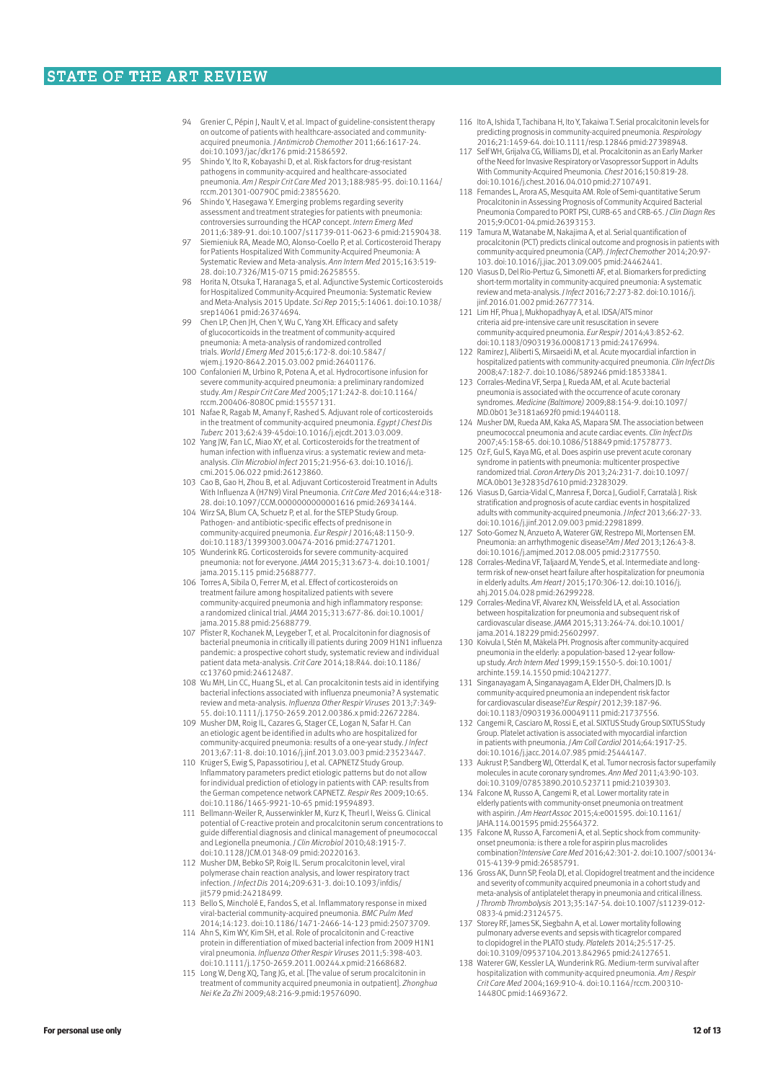- Grenier C, Pépin J, Nault V, et al. Impact of guideline-consistent therapy on outcome of patients with healthcare-associated and communityacquired pneumonia. *J Antimicrob Chemother* 2011;66:1617-24. doi:10.1093/jac/dkr176 pmid:21586592.
- 95 Shindo Y, Ito R, Kobayashi D, et al. Risk factors for drug-resistant pathogens in community-acquired and healthcare-associated pneumonia. *Am J Respir Crit Care Med* 2013;188:985-95. doi:10.1164/ rccm.201301-0079OC pmid:23855620.
- 96 Shindo Y, Hasegawa Y. Emerging problems regarding severity assessment and treatment strategies for patients with pneumonia: controversies surrounding the HCAP concept. *Intern Emerg Med* 2011;6:389-91. doi:10.1007/s11739-011-0623-6 pmid:21590438.
- 97 Siemieniuk RA, Meade MO, Alonso-Coello P, et al. Corticosteroid Therapy for Patients Hospitalized With Community-Acquired Pneumonia: A Systematic Review and Meta-analysis. *Ann Intern Med* 2015;163:519- 28. doi:10.7326/M15-0715 pmid:26258555.
- 98 Horita N, Otsuka T, Haranaga S, et al. Adjunctive Systemic Corticosteroids for Hospitalized Community-Acquired Pneumonia: Systematic Review and Meta-Analysis 2015 Update. *Sci Rep* 2015;5:14061. doi:10.1038/ srep14061 pmid:26374694.
- 99 Chen LP, Chen JH, Chen Y, Wu C, Yang XH. Efficacy and safety of glucocorticoids in the treatment of community-acquired pneumonia: A meta-analysis of randomized controlled trials. *World J Emerg Med* 2015;6:172-8. doi:10.5847/ wjem.j.1920-8642.2015.03.002 pmid:26401176.
- 100 Confalonieri M, Urbino R, Potena A, et al. Hydrocortisone infusion for severe community-acquired pneumonia: a preliminary randomized study. *Am J Respir Crit Care Med* 2005;171:242-8. doi:10.1164/ rccm.200406-808OC pmid:15557131.
- 101 Nafae R, Ragab M, Amany F, Rashed S. Adjuvant role of corticosteroids in the treatment of community-acquired pneumonia. *Egypt J Chest Dis Tuberc* 2013;62:439-45doi:10.1016/j.ejcdt.2013.03.009.
- 102 Yang JW, Fan LC, Miao XY, et al. Corticosteroids for the treatment of human infection with influenza virus: a systematic review and meta-analysis. *Clin Microbiol Infect* 2015;21:956-63. doi:10.1016/j. cmi.2015.06.022 pmid:26123860.
- 103 Cao B, Gao H, Zhou B, et al. Adjuvant Corticosteroid Treatment in Adults With Influenza A (H7N9) Viral Pneumonia. *Crit Care Med* 2016;44:e318- 28. doi:10.1097/CCM.0000000000001616 pmid:26934144.
- 104 Wirz SA, Blum CA, Schuetz P, et al. for the STEP Study Group. Pathogen- and antibiotic-specific effects of prednisone in community-acquired pneumonia. *Eur Respir J* 2016;48:1150-9. doi:10.1183/13993003.00474-2016 pmid:27471201.
- 105 Wunderink RG. Corticosteroids for severe community-acquired pneumonia: not for everyone. *JAMA* 2015;313:673-4. doi:10.1001/ jama.2015.115 pmid:25688777.
- 106 Torres A, Sibila O, Ferrer M, et al. Effect of corticosteroids on treatment failure among hospitalized patients with severe community-acquired pneumonia and high inflammatory response: a randomized clinical trial. *JAMA* 2015;313:677-86. doi:10.1001/ jama.2015.88 pmid:25688779.
- 107 Pfister R, Kochanek M, Leygeber T, et al. Procalcitonin for diagnosis of bacterial pneumonia in critically ill patients during 2009 H1N1 influenza pandemic: a prospective cohort study, systematic review and individual patient data meta-analysis. *Crit Care* 2014;18:R44. doi:10.1186/ cc13760 pmid:24612487.
- 108 Wu MH, Lin CC, Huang SL, et al. Can procalcitonin tests aid in identifying bacterial infections associated with influenza pneumonia? A systematic review and meta-analysis. *Influenza Other Respir Viruses* 2013;7:349- 55. doi:10.1111/j.1750-2659.2012.00386.x pmid:22672284.
- 109 Musher DM, Roig IL, Cazares G, Stager CE, Logan N, Safar H. Can an etiologic agent be identified in adults who are hospitalized for community-acquired pneumonia: results of a one-year study. *J Infect* 2013;67:11-8. doi:10.1016/j.jinf.2013.03.003 pmid:23523447.
- 110 Krüger S, Ewig S, Papassotiriou J, et al. CAPNETZ Study Group. Inflammatory parameters predict etiologic patterns but do not allow for individual prediction of etiology in patients with CAP: results from the German competence network CAPNETZ. *Respir Res* 2009;10:65. doi:10.1186/1465-9921-10-65 pmid:19594893.
- 111 Bellmann-Weiler R, Ausserwinkler M, Kurz K, Theurl I, Weiss G. Clinical potential of C-reactive protein and procalcitonin serum concentrations to guide differential diagnosis and clinical management of pneumococcal and Legionella pneumonia. *J Clin Microbiol* 2010;48:1915-7. doi:10.1128/JCM.01348-09 pmid:20220163.
- 112 Musher DM, Bebko SP, Roig IL. Serum procalcitonin level, viral polymerase chain reaction analysis, and lower respiratory tract infection. *J Infect Dis* 2014;209:631-3. doi:10.1093/infdis/ jit579 pmid:24218499.
- 113 Bello S, Mincholé E, Fandos S, et al. Inflammatory response in mixed viral-bacterial community-acquired pneumonia. *BMC Pulm Med* 2014;14:123. doi:10.1186/1471-2466-14-123 pmid:25073709.
- 114 Ahn S, Kim WY, Kim SH, et al. Role of procalcitonin and C-reactive protein in differentiation of mixed bacterial infection from 2009 H1N1 viral pneumonia. *Influenza Other Respir Viruses* 2011;5:398-403. doi:10.1111/j.1750-2659.2011.00244.x pmid:21668682.
- 115 Long W, Deng XQ, Tang JG, et al. [The value of serum procalcitonin in treatment of community acquired pneumonia in outpatient]. *Zhonghua Nei Ke Za Zhi* 2009;48:216-9.pmid:19576090.
- 116 Ito A, Ishida T, Tachibana H, Ito Y, Takaiwa T. Serial procalcitonin levels for predicting prognosis in community-acquired pneumonia. *Respirology* 2016;21:1459-64. doi:10.1111/resp.12846 pmid:27398948.
- 117 Self WH, Grijalva CG, Williams DJ, et al. Procalcitonin as an Early Marker of the Need for Invasive Respiratory or Vasopressor Support in Adults With Community-Acquired Pneumonia. *Chest* 2016;150:819-28. doi:10.1016/j.chest.2016.04.010 pmid:27107491.
- 118 Fernandes L, Arora AS, Mesquita AM. Role of Semi-quantitative Serum Procalcitonin in Assessing Prognosis of Community Acquired Bacterial Pneumonia Compared to PORT PSI, CURB-65 and CRB-65. *J Clin Diagn Res* 2015;9:OC01-04.pmid:26393153.
- 119 Tamura M, Watanabe M, Nakajima A, et al. Serial quantification of procalcitonin (PCT) predicts clinical outcome and prognosis in patients with community-acquired pneumonia (CAP). *J Infect Chemother* 2014;20:97- 103. doi:10.1016/j.jiac.2013.09.005 pmid:24462441.
- 120 Viasus D, Del Rio-Pertuz G, Simonetti AF, et al. Biomarkers for predicting short-term mortality in community-acquired pneumonia: A systematic review and meta-analysis. *J Infect* 2016;72:273-82. doi:10.1016/j. jinf.2016.01.002 pmid:26777314.
- 121 Lim HF, Phua J, Mukhopadhyay A, et al. IDSA/ATS minor criteria aid pre-intensive care unit resuscitation in severe community-acquired pneumonia. *Eur Respir J* 2014;43:852-62. doi:10.1183/09031936.00081713 pmid:24176994.
- 122 Ramirez J, Aliberti S, Mirsaeidi M, et al. Acute myocardial infarction in hospitalized patients with community-acquired pneumonia. *Clin Infect Dis* 2008;47:182-7. doi:10.1086/589246 pmid:18533841.
- 123 Corrales-Medina VF, Serpa J, Rueda AM, et al. Acute bacterial pneumonia is associated with the occurrence of acute coronary syndromes. *Medicine (Baltimore)* 2009;88:154-9. doi:10.1097/ MD.0b013e3181a692f0 pmid:19440118.
- 124 Musher DM, Rueda AM, Kaka AS, Mapara SM. The association between pneumococcal pneumonia and acute cardiac events. *Clin Infect Dis* 2007;45:158-65. doi:10.1086/518849 pmid:17578773.
- 125 Oz F, Gul S, Kaya MG, et al. Does aspirin use prevent acute coronary syndrome in patients with pneumonia: multicenter prospective randomized trial. *Coron Artery Dis* 2013;24:231-7. doi:10.1097/ MCA.0b013e32835d7610 pmid:23283029.
- 126 Viasus D, Garcia-Vidal C, Manresa F, Dorca J, Gudiol F, Carratalà J. Risk stratification and prognosis of acute cardiac events in hospitalized adults with community-acquired pneumonia. *J Infect* 2013;66:27-33. doi:10.1016/j.jinf.2012.09.003 pmid:22981899.
- 127 Soto-Gomez N, Anzueto A, Waterer GW, Restrepo MI, Mortensen EM. Pneumonia: an arrhythmogenic disease?*Am J Med* 2013;126:43-8. doi:10.1016/j.amjmed.2012.08.005 pmid:23177550.
- 128 Corrales-Medina VF, Taljaard M, Yende S, et al. Intermediate and longterm risk of new-onset heart failure after hospitalization for pneumonia in elderly adults. *Am Heart J* 2015;170:306-12. doi:10.1016/j. ahj.2015.04.028 pmid:26299228.
- 129 Corrales-Medina VF, Alvarez KN, Weissfeld LA, et al. Association between hospitalization for pneumonia and subsequent risk of cardiovascular disease. *JAMA* 2015;313:264-74. doi:10.1001/ jama.2014.18229 pmid:25602997.
- 130 Koivula I, Stén M, Mäkelä PH. Prognosis after community-acquired pneumonia in the elderly: a population-based 12-year followup study. *Arch Intern Med* 1999;159:1550-5. doi:10.1001/ archinte.159.14.1550 pmid:10421277.
- 131 Singanayagam A, Singanayagam A, Elder DH, Chalmers JD. Is community-acquired pneumonia an independent risk factor for cardiovascular disease?*Eur Respir J* 2012;39:187-96. doi:10.1183/09031936.00049111 pmid:21737556.
- 132 Cangemi R, Casciaro M, Rossi E, et al. SIXTUS Study Group SIXTUS Study Group. Platelet activation is associated with myocardial infarction in patients with pneumonia. *J Am Coll Cardiol* 2014;64:1917-25. doi:10.1016/j.jacc.2014.07.985 pmid:25444147.
- 133 Aukrust P, Sandberg WJ, Otterdal K, et al. Tumor necrosis factor superfamily molecules in acute coronary syndromes. *Ann Med* 2011;43:90-103. doi:10.3109/07853890.2010.523711 pmid:21039303.
- 134 Falcone M, Russo A, Cangemi R, et al. Lower mortality rate in elderly patients with community-onset pneumonia on treatment with aspirin. *J Am Heart Assoc* 2015;4:e001595. doi:10.1161/
- JAHA.114.001595 pmid:25564372. 135 Falcone M, Russo A, Farcomeni A, et al. Septic shock from communityonset pneumonia: is there a role for aspirin plus macrolides combination?*Intensive Care Med* 2016;42:301-2. doi:10.1007/s00134- 015-4139-9 pmid:26585791.
- 136 Gross AK, Dunn SP, Feola DJ, et al. Clopidogrel treatment and the incidence and severity of community acquired pneumonia in a cohort study and meta-analysis of antiplatelet therapy in pneumonia and critical illness. *J Thromb Thrombolysis* 2013;35:147-54. doi:10.1007/s11239-012- 0833-4 pmid:23124575.
- 137 Storey RF, James SK, Siegbahn A, et al. Lower mortality following pulmonary adverse events and sepsis with ticagrelor compared to clopidogrel in the PLATO study. *Platelets* 2014;25:517-25. doi:10.3109/09537104.2013.842965 pmid:24127651.
- 138 Waterer GW, Kessler LA, Wunderink RG. Medium-term survival after hospitalization with community-acquired pneumonia. *Am J Respir Crit Care Med* 2004;169:910-4. doi:10.1164/rccm.200310- 1448OC pmid:14693672.